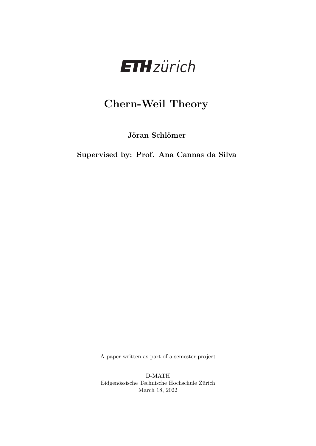

# Chern-Weil Theory

Jöran Schlömer

Supervised by: Prof. Ana Cannas da Silva

A paper written as part of a semester project

D-MATH Eidgenössische Technische Hochschule Zürich March 18, 2022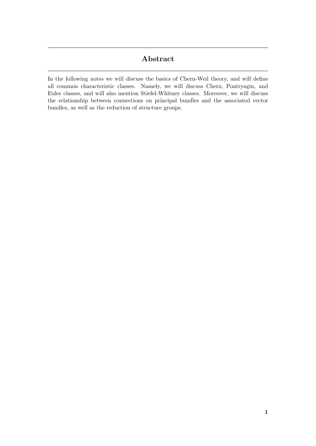## Abstract

In the following notes we will discuss the basics of Chern-Weil theory, and will define all common characteristic classes. Namely, we will discuss Chern, Pontryagin, and Euler classes, and will also mention Stiefel-Whitney classes. Moreover, we will discuss the relationship between connections on principal bundles and the associated vector bundles, as well as the reduction of structure groups.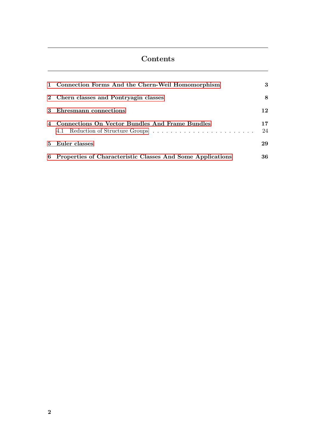# Contents

| 1 Connection Forms And the Chern-Weil Homomorphism           | 3        |
|--------------------------------------------------------------|----------|
| 2 Chern classes and Pontryagin classes                       | 8        |
| 3 Ehresmann connections                                      | 12       |
| 4 Connections On Vector Bundles And Frame Bundles            | 17<br>24 |
| 5 Euler classes                                              | 29       |
| 6 Properties of Characteristic Classes And Some Applications | 36       |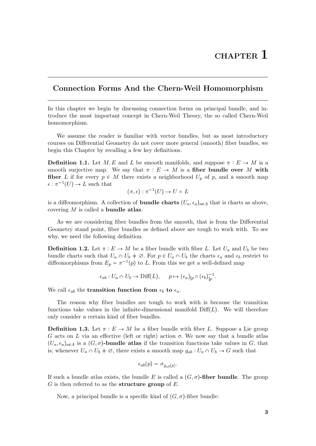### <span id="page-3-0"></span>Connection Forms And the Chern-Weil Homomorphism

In this chapter we begin by discussing connection forms on principal bundle, and introduce the most important concept in Chern-Weil Theory, the so called Chern-Weil homomorphism.

We assume the reader is familiar with vector bundles, but as most introductory courses on Differential Geometry do not cover more general (smooth) fiber bundles, we begin this Chapter by recalling a few key definitions.

**Definition 1.1.** Let  $M, E$  and L be smooth manifolds, and suppose  $\pi : E \to M$  is a smooth surjective map. We say that  $\pi : E \to M$  is a fiber bundle over M with fiber L if for every  $p \in M$  there exists a neighborhood  $U_p$  of p, and a smooth map  $\epsilon : \pi^{-1}(U) \to L$  such that

$$
(\pi,\epsilon): \pi^{-1}(U) \to U \times L
$$

is a diffeomorphism. A collection of **bundle charts**  $(U_a, \epsilon_a)_{a \in A}$  that is charts as above, covering  $M$  is called a **bundle atlas**.

As we are considering fiber bundles from the smooth, that is from the Differential Geometry stand point, fiber bundles as defined above are tough to work with. To see why, we need the following definition.

**Definition 1.2.** Let  $\pi : E \to M$  be a fiber bundle with fiber L. Let  $U_a$  and  $U_b$  be two bundle charts such that  $U_a \cap U_b \neq \emptyset$ . For  $p \in U_a \cap U_b$  the charts  $\epsilon_a$  and  $\epsilon_b$  restrict to diffeomorphisms from  $E_p = \pi^{-1}(p)$  to L. From this we get a well-defined map

$$
\epsilon_{ab}: U_a \cap U_b \to \text{Diff}(L), \quad p \mapsto (\epsilon_a)_{|p} \circ (\epsilon_b)_{|p}^{-1}.
$$

We call  $\epsilon_{ab}$  the **transition function from**  $\epsilon_b$  to  $\epsilon_a$ .

The reason why fiber bundles are tough to work with is because the transition functions take values in the infinite-dimensional manifold  $\text{Diff}(L)$ . We will therefore only consider a certain kind of fiber bundles.

**Definition 1.3.** Let  $\pi : E \to M$  be a fiber bundle with fiber L. Suppose a Lie group G acts on L via an effective (left or right) action  $\sigma$ . We now say that a bundle atlas  $(U_a, \epsilon_a)_{a \in A}$  is a  $(G, \sigma)$ -bundle atlas if the transition functions take values in G, that is, whenever  $U_a \cap U_b \neq \emptyset$ , there exists a smooth map  $g_{ab} : U_a \cap U_b \to G$  such that

$$
\epsilon_{ab}(p) = \sigma_{g_{ab}(p)}.
$$

If such a bundle atlas exists, the bundle E is called a  $(G, \sigma)$ -fiber bundle. The group  $G$  is then referred to as the **structure group** of  $E$ .

Now, a principal bundle is a specific kind of  $(G, \sigma)$ -fiber bundle: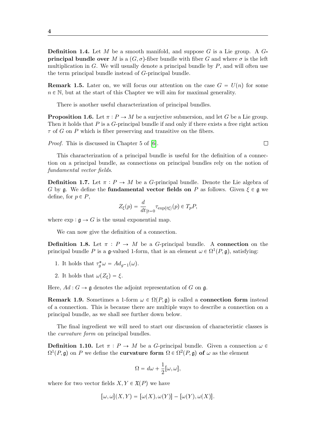**Definition 1.4.** Let M be a smooth manifold, and suppose G is a Lie group. A  $G$ **principal bundle over** M is a  $(G, \sigma)$ -fiber bundle with fiber G and where  $\sigma$  is the left multiplication in  $G$ . We will usually denote a principal bundle by  $P$ , and will often use the term principal bundle instead of G-principal bundle.

**Remark 1.5.** Later on, we will focus our attention on the case  $G = U(n)$  for some  $n \in \mathbb{N}$ , but at the start of this Chapter we will aim for maximal generality.

There is another useful characterization of principal bundles.

<span id="page-4-2"></span>**Proposition 1.6.** Let  $\pi : P \to M$  be a surjective submersion, and let G be a Lie group. Then it holds that  $P$  is a  $G$ -principal bundle if and only if there exists a free right action  $\tau$  of G on P which is fiber preserving and transitive on the fibers.

Proof. This is discussed in Chapter 5 of [\[6\]](#page-45-0).

 $\Box$ 

This characterization of a principal bundle is useful for the definition of a connection on a principal bundle, as connections on principal bundles rely on the notion of fundamental vector fields.

<span id="page-4-0"></span>**Definition 1.7.** Let  $\pi : P \to M$  be a *G*-principal bundle. Denote the Lie algebra of G by g. We define the **fundamental vector fields on** P as follows. Given  $\xi \in \mathfrak{g}$  we define, for  $p \in P$ ,

$$
Z_{\xi}(p) = \frac{d}{dt}_{|t=0} \tau_{\exp(t\xi)}(p) \in T_p P,
$$

where  $\exp : \mathfrak{g} \to G$  is the usual exponential map.

We can now give the definition of a connection.

<span id="page-4-1"></span>**Definition 1.8.** Let  $\pi$  :  $P \to M$  be a *G*-principal bundle. A connection on the principal bundle P is a g-valued 1-form, that is an element  $\omega \in \Omega^1(P, \mathfrak{g})$ , satisfying:

- 1. It holds that  $\tau_g^* \omega = Ad_{g^{-1}}(\omega)$ .
- 2. It holds that  $\omega(Z_{\xi}) = \xi$ .

Here,  $Ad: G \to \mathfrak{g}$  denotes the adjoint representation of G on g.

**Remark 1.9.** Sometimes a 1-form  $\omega \in \Omega(P, \mathfrak{g})$  is called a **connection form** instead of a connection. This is because there are multiple ways to describe a connection on a principal bundle, as we shall see further down below.

The final ingredient we will need to start our discussion of characteristic classes is the curvature form on principal bundles.

**Definition 1.10.** Let  $\pi$  :  $P \to M$  be a G-principal bundle. Given a connection  $\omega$   $\in$  $\Omega^1(P, \mathfrak{g})$  on P we define the **curvature form**  $\Omega \in \Omega^2(P, \mathfrak{g})$  of  $\omega$  as the element

$$
\Omega = d\omega + \frac{1}{2} [\omega, \omega],
$$

where for two vector fields  $X, Y \in \mathfrak{X}(P)$  we have

$$
[\omega,\omega](X,Y) = [\omega(X),\omega(Y)] - [\omega(Y),\omega(X)].
$$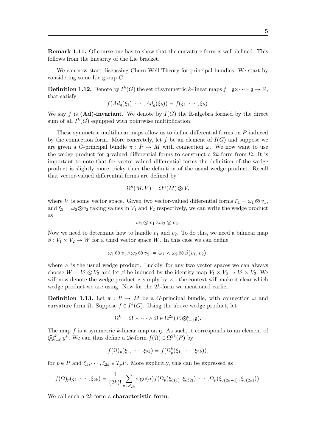Remark 1.11. Of course one has to show that the curvature form is well-defined. This follows from the linearity of the Lie bracket.

We can now start discussing Chern-Weil Theory for principal bundles. We start by considering some Lie group G.

**Definition 1.12.** Denote by  $I^k(G)$  the set of symmetric k-linear maps  $f: \mathfrak{g} \times \cdots \times \mathfrak{g} \to \mathbb{R}$ , that satisfy

$$
f(Ad_g(\xi_1),\cdots,Ad_g(\xi_k))=f(\xi_1,\cdots,\xi_k).
$$

We say f is (Ad)-invariant. We denote by  $I(G)$  the R-algebra formed by the direct sum of all  $I^k(G)$  equipped with pointwise multiplication.

These symmetric multilinear maps allow us to define differential forms on P induced by the connection form. More concretely, let f be an element of  $I(G)$  and suppose we are given a G-principal bundle  $\pi : P \to M$  with connection  $\omega$ . We now want to use the wedge product for  $\mathfrak{g}$ -valued differential forms to construct a 2k-form from  $\Omega$ . It is important to note that for vector-valued differential forms the definition of the wedge product is slightly more tricky than the definition of the usual wedge product. Recall that vector-valued differential forms are defined by

$$
\Omega^n(M, V) = \Omega^n(M) \otimes V,
$$

where V is some vector space. Given two vector-valued differential forms  $\xi_1 = \omega_1 \otimes v_1$ , and  $\xi_2 = \omega_2 \otimes \nu_2$  taking values in  $V_1$  and  $V_2$  respectively, we can write the wedge product as

$$
\omega_1\otimes v_1\,\barwedge\omega_2\otimes v_2.
$$

Now we need to determine how to handle  $v_1$  and  $v_2$ . To do this, we need a bilinear map  $\beta: V_1 \times V_2 \to W$  for a third vector space W. In this case we can define

$$
\omega_1 \otimes v_1 \barwedge \omega_2 \otimes v_2 \coloneqq \omega_1 \wedge \omega_2 \otimes \beta(v_1, v_2),
$$

where  $\wedge$  is the usual wedge product. Luckily, for any two vector spaces we can always choose  $W = V_1 \otimes V_2$  and let  $\beta$  be induced by the identity map  $V_1 \times V_2 \rightarrow V_1 \times V_2$ . We will now denote the wedge product  $\bar{\wedge}$  simply by  $\wedge$  - the context will make it clear which wedge product we are using. Now for the 2k-form we mentioned earlier.

**Definition 1.13.** Let  $\pi$  :  $P \to M$  be a G-principal bundle, with connection  $\omega$  and curvature form  $\Omega$ . Suppose  $f \in I^k(G)$ . Using the above wedge product, let

$$
\Omega^k = \Omega \wedge \cdots \wedge \Omega \in \Omega^{2k}(P, \otimes_{i=1}^k \mathfrak{g}).
$$

 $\otimes^k$ The map  $f$  is a symmetric  $k$ -linear map on  $\mathfrak g$ . As such, it corresponds to an element of  $_{i=0}^{k} g^*$ . We can thus define a 2k-form  $f(\Omega) \in \Omega^{2k}(P)$  by

$$
f(\Omega)_p(\xi_1,\cdots,\xi_{2k})=f(\Omega_p^k(\xi_1,\cdots,\xi_{2k})),
$$

for  $p \in P$  and  $\xi_1, \dots, \xi_{2k} \in T_pP$ . More explicitly, this can be expressed as

$$
f(\Omega)_p(\xi_1,\dots,\xi_{2k})=\frac{1}{(2k)!}\sum_{\sigma\in S_{2k}}\operatorname{sign}(\sigma)f(\Omega_p(\xi_{\sigma(1)},\xi_{\sigma(2)}),\dots,\Omega_p(\xi_{\sigma(2k-1)},\xi_{\sigma(2k)})).
$$

We call such a 2k-form a **characteristic form**.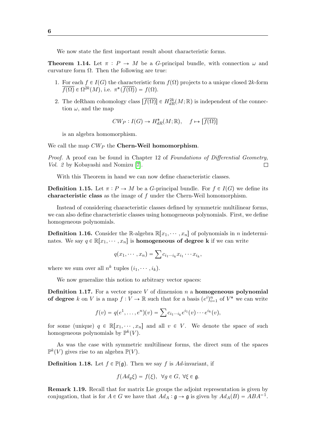We now state the first important result about characteristic forms.

**Theorem 1.14.** Let  $\pi$ :  $P \rightarrow M$  be a *G*-principal bundle, with connection  $\omega$  and curvature form  $\Omega$ . Then the following are true:

- 1. For each  $f \in I(G)$  the characteristic form  $f(\Omega)$  projects to a unique closed 2k-form  $\overline{f(\Omega)} \in \Omega^{2k}(M)$ , i.e.  $\pi^*(\overline{f(\Omega)}) = f(\Omega)$ .
- 2. The deRham cohomology class  $\left[\overline{f(\Omega)}\right] \in H_{dR}^{2k}(M;\mathbb{R})$  is independent of the connection  $\omega$ , and the map

$$
CW_P: I(G) \to H^*_{dR}(M; \mathbb{R}), \quad f \mapsto [\overline{f(\Omega)}]
$$

is an algebra homomorphism.

We call the map  $CW_P$  the Chern-Weil homomorphism.

Proof. A proof can be found in Chapter 12 of Foundations of Differential Geometry, Vol. 2 by Kobayashi and Nomizu [\[7\]](#page-45-1).  $\Box$ 

With this Theorem in hand we can now define characteristic classes.

**Definition 1.15.** Let  $\pi : P \to M$  be a G-principal bundle. For  $f \in I(G)$  we define its characteristic class as the image of f under the Chern-Weil homomorphism.

Instead of considering characteristic classes defined by symmetric multilinear forms, we can also define characteristic classes using homogeneous polynomials. First, we define homogeneous polynomials.

**Definition 1.16.** Consider the R-algebra  $\mathbb{R}[x_1, \dots, x_n]$  of polynomials in n indeterminates. We say  $q \in \mathbb{R}[x_1, \dots, x_n]$  is **homogeneous of degree k** if we can write

$$
q(x_1,\dots,x_n)=\sum c_{i_1\cdots i_k}x_{i_1}\cdots x_{i_k},
$$

where we sum over all  $n^k$  tuples  $(i_1, \dots, i_k)$ .

We now generalize this notion to arbitrary vector spaces:

**Definition 1.17.** For a vector space  $V$  of dimension  $n$  a homogeneous polynomial of degree k on V is a map  $f: V \to \mathbb{R}$  such that for a basis  $(e^i)_{i=1}^n$  of  $V^*$  we can write

$$
f(v) = q(e^{1},...,e^{n})(v) = \sum c_{i_{1}\cdots i_{k}}e^{i_{1}}(v)\cdots e^{i_{k}}(v),
$$

for some (unique)  $q \in \mathbb{R}[x_1, \dots, x_n]$  and all  $v \in V$ . We denote the space of such homogeneous polynomials by  $\mathbb{P}^k(V)$ .

As was the case with symmetric multilinear forms, the direct sum of the spaces  $\mathbb{P}^k(V)$  gives rise to an algebra  $\mathbb{P}(V)$ .

**Definition 1.18.** Let  $f \in \mathbb{P}(\mathfrak{g})$ . Then we say f is Ad-invariant, if

$$
f(Ad_g \xi) = f(\xi), \ \ \forall g \in G, \ \forall \xi \in \mathfrak{g}.
$$

Remark 1.19. Recall that for matrix Lie groups the adjoint representation is given by conjugation, that is for  $A \in G$  we have that  $Ad_A : \mathfrak{g} \to \mathfrak{g}$  is given by  $Ad_A(B) = ABA^{-1}$ .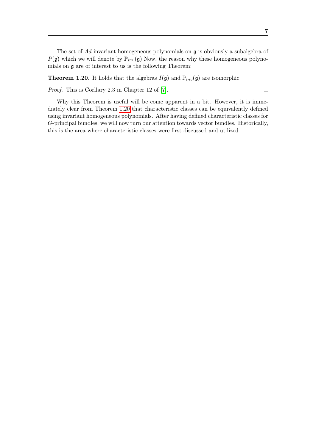$\Box$ 

The set of  $Ad$ -invariant homogeneous polynomials on  $\mathfrak g$  is obviously a subalgebra of  $P(\mathfrak{g})$  which we will denote by  $\mathbb{P}_{inv}(\mathfrak{g})$  Now, the reason why these homogeneous polynomials on  $\mathfrak g$  are of interest to us is the following Theorem:

<span id="page-7-0"></span>**Theorem 1.20.** It holds that the algebras  $I(\mathfrak{g})$  and  $\mathbb{P}_{inv}(\mathfrak{g})$  are isomorphic.

Proof. This is Corllary 2.3 in Chapter 12 of [\[7\]](#page-45-1).

Why this Theorem is useful will be come apparent in a bit. However, it is immediately clear from Theorem [1.20](#page-7-0) that characteristic classes can be equivalently defined using invariant homogeneous polynomials. After having defined characteristic classes for G-principal bundles, we will now turn our attention towards vector bundles. Historically, this is the area where characteristic classes were first discussed and utilized.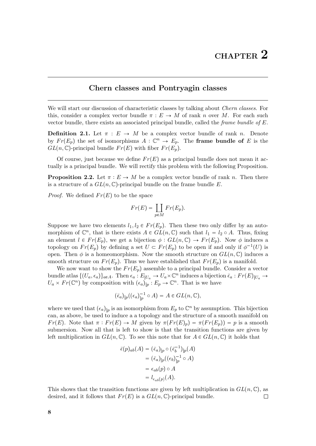#### <span id="page-8-0"></span>Chern classes and Pontryagin classes

We will start our discussion of characteristic classes by talking about *Chern classes*. For this, consider a complex vector bundle  $\pi : E \to M$  of rank n over M. For each such vector bundle, there exists an associated principal bundle, called the *frame bundle of E*.

<span id="page-8-1"></span>**Definition 2.1.** Let  $\pi : E \to M$  be a complex vector bundle of rank n. Denote by  $Fr(E_p)$  the set of isomorphisms  $A: \mathbb{C}^n \to E_p$ . The **frame bundle of** E is the  $GL(n,\mathbb{C})$ -principal bundle  $Fr(E)$  with fiber  $Fr(E_n)$ .

Of course, just because we define  $Fr(E)$  as a principal bundle does not mean it actually is a principal bundle. We will rectify this problem with the following Proposition.

<span id="page-8-2"></span>**Proposition 2.2.** Let  $\pi : E \to M$  be a complex vector bundle of rank n. Then there is a structure of a  $GL(n, \mathbb{C})$ -principal bundle on the frame bundle E.

*Proof.* We defined  $Fr(E)$  to be the space

$$
Fr(E) = \coprod_{p \in M} Fr(E_p).
$$

Suppose we have two elements  $l_1, l_2 \in Fr(E_p)$ . Then these two only differ by an automorphism of  $\mathbb{C}^n$ , that is there exists  $A \in GL(n, \mathbb{C})$  such that  $l_1 = l_2 \circ A$ . Thus, fixing an element  $l \in Fr(E_p)$ , we get a bijection  $\phi : GL(n, \mathbb{C}) \to Fr(E_p)$ . Now  $\phi$  induces a topology on  $Fr(E_p)$  by defining a set  $U \subset Fr(E_p)$  to be open if and only if  $\phi^{-1}(U)$  is open. Then  $\phi$  is a homeomorphism. Now the smooth structure on  $GL(n,\mathbb{C})$  induces a smooth structure on  $Fr(E_p)$ . Thus we have established that  $Fr(E_p)$  is a manifold.

We now want to show the  $Fr(E_p)$  assemble to a principal bundle. Consider a vector bundle atlas  $\{(U_a, \epsilon_a)\}_{a \in A}$ . Then  $\epsilon_a : E_{|U_a} \to U_a \times \mathbb{C}^n$  induces a bijection  $\bar{\epsilon}_a : Fr(E)_{|U_a} \to$  $U_a \times Fr(\mathbb{C}^n)$  by composition with  $(\epsilon_a)|_p : E_p \to \mathbb{C}^n$ . That is we have

$$
(\bar{\epsilon}_a)_{|p}((\epsilon_a)_{|p}^{-1}\circ A)=A\in GL(n,\mathbb{C}),
$$

where we used that  $(\epsilon_a)_{|p}$  is an isomorphism from  $E_p$  to  $\mathbb{C}^n$  by assumption. This bijection can, as above, be used to induce a a topology and the structure of a smooth manifold on  $Fr(E)$ . Note that  $\pi : Fr(E) \to M$  given by  $\pi (Fr(E_p)) = \pi (Fr(E_p)) = p$  is a smooth submersion. Now all that is left to show is that the transition functions are given by left multiplication in  $GL(n,\mathbb{C})$ . To see this note that for  $A \in GL(n,\mathbb{C})$  it holds that

$$
\begin{aligned} \bar{\epsilon}(p)_{ab}(A) &= (\bar{\epsilon}_a)_{|p} \circ (\bar{\epsilon}_b^{-1})_{|p}(A) \\ &= (\bar{\epsilon}_a)_{|p}((\epsilon_b)_{|p}^{-1} \circ A) \\ &= \epsilon_{ab}(p) \circ A \\ &= l_{\epsilon_{ab}(p)}(A). \end{aligned}
$$

This shows that the transition functions are given by left multiplication in  $GL(n, \mathbb{C})$ , as desired, and it follows that  $Fr(E)$  is a  $GL(n, \mathbb{C})$ -principal bundle.  $\Box$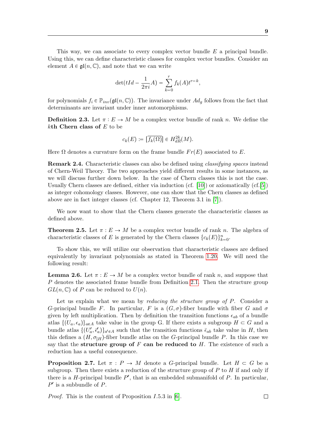This way, we can associate to every complex vector bundle  $E$  a principal bundle. Using this, we can define characteristic classes for complex vector bundles. Consider an element  $A \in \mathfrak{gl}(n, \mathbb{C})$ , and note that we can write

$$
\det(tId - \frac{1}{2\pi i}A) = \sum_{k=0}^{r} f_k(A)t^{r-k},
$$

for polynomials  $f_i \in \mathbb{P}_{inv}(\mathfrak{gl}(n,\mathbb{C}))$ . The invariance under  $Ad_g$  follows from the fact that determinants are invariant under inner automorphisms.

**Definition 2.3.** Let  $\pi : E \to M$  be a complex vector bundle of rank n. We define the  $k$ th Chern class of  $E$  to be

$$
c_k(E) := \overline{\left[f_k(\Omega)\right]} \in H_{dR}^{2k}(M).
$$

Here  $\Omega$  denotes a curvature form on the frame bundle  $Fr(E)$  associated to E.

Remark 2.4. Characteristic classes can also be defined using classifying spaces instead of Chern-Weil Theory. The two approaches yield different results in some instances, as we will discuss further down below. In the case of Chern classes this is not the case. Usually Chern classes are defined, either via induction (cf. [\[10\]](#page-45-2)) or axiomatically (cf.[\[5\]](#page-45-3)) as integer cohomology classes. However, one can show that the Chern classes as defined above are in fact integer classes (cf. Chapter 12, Theorem 3.1 in [\[7\]](#page-45-1)).

We now want to show that the Chern classes generate the characteristic classes as defined above.

<span id="page-9-1"></span>**Theorem 2.5.** Let  $\pi : E \to M$  be a complex vector bundle of rank n. The algebra of characteristic classes of E is generated by the Chern classes  $\{c_k(E)\}_{k=0}^n$ .

To show this, we will utilize our observation that characteristic classes are defined equivalently by invariant polynomials as stated in Theorem [1.20.](#page-7-0) We will need the following result:

<span id="page-9-0"></span>**Lemma 2.6.** Let  $\pi : E \to M$  be a complex vector bundle of rank n, and suppose that P denotes the associated frame bundle from Definition [2.1.](#page-8-1) Then the structure group  $GL(n,\mathbb{C})$  of P can be reduced to  $U(n)$ .

Let us explain what we mean by *reducing the structure group of P*. Consider a G-principal bundle F. In particular, F is a  $(G, \sigma)$ -fiber bundle with fiber G and  $\sigma$ given by left multiplication. Then by definition the transition functions  $\epsilon_{ab}$  of a bundle atlas  $\{(U_a, \epsilon_a)\}_{a \in A}$  take value in the group G. If there exists a subgroup  $H \subset G$  and a bundle atlas  $\{(U'_a, \bar{\epsilon}'_a)\}_a \in A$  such that the transition functions  $\bar{\epsilon}_{ab}$  take value in H, then this defines a  $(H, \sigma_H)$ -fiber bundle atlas on the G-principal bundle P. In this case we say that the structure group of  $F$  can be reduced to  $H$ . The existence of such a reduction has a useful consequence.

<span id="page-9-2"></span>**Proposition 2.7.** Let  $\pi$ :  $P \to M$  denote a G-principal bundle. Let  $H \subset G$  be a subgroup. Then there exists a reduction of the structure group of  $P$  to  $H$  if and only if there is a  $H$ -principal bundle  $P'$ , that is an embedded submanifold of  $P$ . In particular,  $P'$  is a subbundle of P.

*Proof.* This is the content of Proposition  $I.5.3$  in [\[6\]](#page-45-0).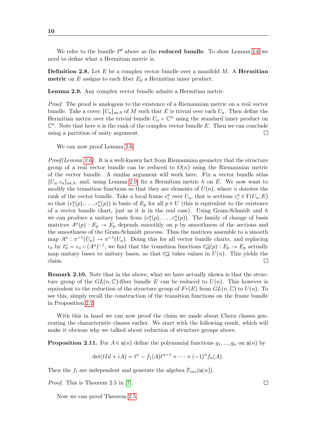We refer to the bundle  $P'$  above as the **reduced bundle**. To show Lemma [2.6](#page-9-0) we need to define what a Hermitian metric is.

**Definition 2.8.** Let  $E$  be a complex vector bundle over a manifold  $M$ . A **Hermitian metric** on E assigns to each fiber  $E_p$  a Hermitian inner product.

<span id="page-10-0"></span>Lemma 2.9. Any complex vector bundle admits a Hermitian metric.

Proof. The proof is analogous to the existence of a Riemannian metric on a real vector bundle. Take a cover  $\{U_a\}_{a \in A}$  of M such that E is trivial over each  $U_a$ . Then define the Hermitian metric over the trivial bundle  $U_a \times \mathbb{C}^n$  using the standard inner product on  $\mathbb{C}^n$ . Note that here *n* is the rank of the complex vector bundle E. Then we can conclude using a partition of unity argument.  $\Box$ 

We can now proof Lemma [2.6:](#page-9-0)

*Proof(Lemma [2.6\)](#page-9-0).* It is a well-known fact from Riemannian geometry that the structure group of a real vector bundle can be reduced to  $O(n)$  using the Riemannian metric of the vector bundle. A similar argument will work here. Fix a vector bundle atlas  $\{U_a, \epsilon_a\}_{a \in A}$ , and, using Lemma [2.9,](#page-10-0) fix a Hermitian metric h on E. We now want to modify the transition functions so that they are elements of  $U(n)$ , where n denotes the rank of the vector bundle. Take a local frame  $e_i^a$  over  $U_a$ , that is sections  $e_i^a \in \Gamma(U_a, E)$ so that  $(e_1^a(p), \ldots, e_n^a(p))$  is basis of  $E_p$  for all  $p \in U$  (this is equivalent to the existence of a vector bundle chart, just as it is in the real case). Using Gram-Schmidt and h we can produce a unitary basis from  $(e_1^a(p), \ldots, e_n^a(p))$ . The family of change of basis matrices  $A^a(p) : E_p \to E_p$  depends smoothly on p by smoothness of the sections and the smoothness of the Gram-Schmidt process. Thus the matrices assemble to a smooth map  $A^a : \pi^{-1}(U_a) \to \pi^{-1}(U_a)$ . Doing this for all vector bundle charts, and replacing  $\epsilon_a$  by  $\overline{\epsilon_a} = \epsilon_a \circ (A^a)^{-1}$ , we find that the transition functions  $\overline{\epsilon_{ab}}(p) : E_p \to E_p$  actually map unitary bases to unitary bases, so that  $\overline{\epsilon_{ab}}$  takes values in  $U(n)$ . This yields the claim.  $\Box$ 

Remark 2.10. Note that in the above, what we have actually shown is that the structure group of the  $GL(n,\mathbb{C})$ -fiber bundle E can be reduced to  $U(n)$ . This however is equivalent to the reduction of the structure group of  $Fr(E)$  from  $GL(n, \mathbb{C})$  to  $U(n)$ . To see this, simply recall the construction of the transition functions on the frame bundle in Proposition [2.2.](#page-8-2)

With this in hand we can now proof the claim we made about Chern classes generating the characteristic classes earlier. We start with the following result, which will make it obvious why we talked about reduction of structure groups above.

<span id="page-10-1"></span>**Proposition 2.11.** For  $A \in \mathfrak{u}(n)$  define the polynomial functions  $g_1, ..., g_n$  on  $\mathfrak{u}(n)$  by

$$
\det(tId + iA) = t^{n} - f_{1}(A)t^{n-1} + \cdots + (-1)^{n}f_{n}(A).
$$

Then the  $f_i$  are independent and generate the algebra  $\mathbb{P}_{inv}(\mathfrak{u}(n))$ .

Proof. This is Theorem 2.5 in [\[7\]](#page-45-1).

Now we can proof Theorem [2.5.](#page-9-1)

 $\Box$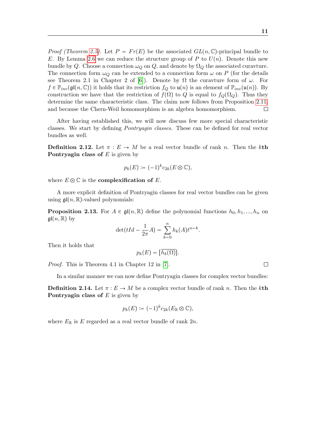*Proof (Theorem [2.5\)](#page-9-1).* Let  $P = Fr(E)$  be the associated  $GL(n, \mathbb{C})$ -principal bundle to E. By Lemma [2.6](#page-9-0) we can reduce the structure group of P to  $U(n)$ . Denote this new bundle by Q. Choose a connection  $\omega_Q$  on Q, and denote by  $\Omega_Q$  the associated curavture. The connection form  $\omega_Q$  can be extended to a connection form  $\omega$  on P (for the details see Theorem 2.1 in Chapter 2 of [\[6\]](#page-45-0)). Denote by  $\Omega$  the curavture form of  $\omega$ . For  $f \in \mathbb{P}_{inv}(\mathfrak{gl}(n,\mathbb{C}))$  it holds that its restriction  $f_Q$  to  $\mathfrak{u}(n)$  is an element of  $\mathbb{P}_{inv}(\mathfrak{u}(n))$ . By construction we have that the restriction of  $f(\Omega)$  to Q is equal to  $f_Q(\Omega_Q)$ . Thus they determine the same characteristic class. The claim now follows from Proposition [2.11,](#page-10-1) and because the Chern-Weil homomorphism is an algebra homomorphism.  $\Box$ 

After having established this, we will now discuss few more special characteristic classes. We start by defining Pontryagin classes. These can be defined for real vector bundles as well.

**Definition 2.12.** Let  $\pi : E \to M$  be a real vector bundle of rank n. Then the kth Pontryagin class of  $E$  is given by

$$
p_k(E) := (-1)^k c_{2k}(E \otimes \mathbb{C}),
$$

where  $E \otimes \mathbb{C}$  is the **complexification of** E.

A more explicit definition of Pontryagin classes for real vector bundles can be given using  $\mathfrak{gl}(n,\mathbb{R})$ -valued polynomials:

**Proposition 2.13.** For  $A \in \mathfrak{gl}(n, \mathbb{R})$  define the polynomial functions  $h_0, h_1, ..., h_n$  on  $\mathfrak{gl}(n,\mathbb{R})$  by

$$
\det(tId - \frac{1}{2\pi}A) = \sum_{k=0}^{n} h_k(A)t^{n-k}.
$$

Then it holds that

$$
p_k(E) = [\overline{h_k(\Omega)}].
$$

Proof. This is Theorem 4.1 in Chapter 12 in [\[7\]](#page-45-1).

In a similar manner we can now define Pontryagin classes for complex vector bundles:

**Definition 2.14.** Let  $\pi : E \to M$  be a complex vector bundle of rank n. Then the kth **Pontryagin class of**  $E$  is given by

$$
p_k(E) := (-1)^k c_{2k}(E_{\mathbb{R}} \otimes \mathbb{C}),
$$

where  $E_{\mathbb{R}}$  is E regarded as a real vector bundle of rank  $2n$ .

 $\Box$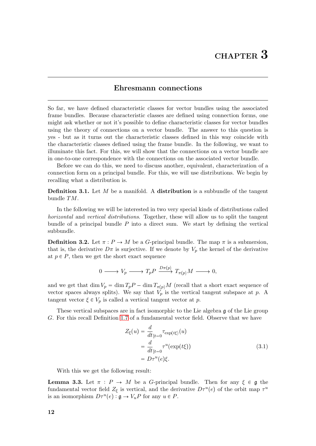#### Ehresmann connections

<span id="page-12-0"></span>So far, we have defined characteristic classes for vector bundles using the associated frame bundles. Because characteristic classes are defined using connection forms, one might ask whether or not it's possible to define characteristic classes for vector bundles using the theory of connections on a vector bundle. The answer to this question is yes - but as it turns out the characteristic classes defined in this way coincide with the characteristic classes defined using the frame bundle. In the following, we want to illuminate this fact. For this, we will show that the connections on a vector bundle are in one-to-one correspondence with the connections on the associated vector bundle.

Before we can do this, we need to discuss another, equivalent, characterization of a connection form on a principal bundle. For this, we will use distributions. We begin by recalling what a distribution is.

**Definition 3.1.** Let  $M$  be a manifold. A distribution is a subbundle of the tangent bundle TM.

In the following we will be interested in two very special kinds of distributions called horizontal and vertical distributions. Together, these will allow us to split the tangent bundle of a principal bundle  $P$  into a direct sum. We start by defining the vertical subbundle.

**Definition 3.2.** Let  $\pi: P \to M$  be a G-principal bundle. The map  $\pi$  is a submersion, that is, the derivative  $D\pi$  is surjective. If we denote by  $V_p$  the kernel of the derivative at  $p \in P$ , then we get the short exact sequence

$$
0 \longrightarrow V_p \longrightarrow T_p P \xrightarrow{D\pi(p)} T_{\pi(p)} M \longrightarrow 0,
$$

and we get that dim  $V_p = \dim T_p P - \dim T_{\pi(p)}M$  (recall that a short exact sequence of vector spaces always splits). We say that  $V_p$  is the vertical tangent subspace at p. A tangent vector  $\xi \in V_p$  is called a vertical tangent vector at p.

These vertical subspaces are in fact isomorphic to the Lie algebra g of the Lie group G. For this recall Definition [1.7](#page-4-0) of a fundamental vector field. Observe that we have

<span id="page-12-1"></span>
$$
Z_{\xi}(u) = \frac{d}{dt}_{|t=0} \tau_{\exp(t\xi)}(u)
$$
  
= 
$$
\frac{d}{dt}_{|t=0} \tau^{u}(\exp(t\xi))
$$
  
= 
$$
D\tau^{u}(e)\xi.
$$
 (3.1)

With this we get the following result:

<span id="page-12-2"></span>**Lemma 3.3.** Let  $\pi$ :  $P \to M$  be a G-principal bundle. Then for any  $\xi \in \mathfrak{g}$  the fundamental vector field  $Z_{\xi}$  is vertical, and the derivative  $D\tau^{u}(e)$  of the orbit map  $\tau^{u}$ is an isomorphism  $D\tau^u(e) : \mathfrak{g} \to V_uP$  for any  $u \in P$ .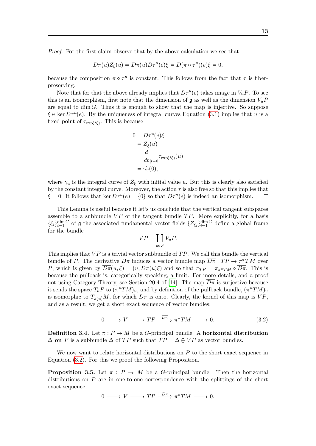Proof. For the first claim observe that by the above calculation we see that

$$
D\pi(u)Z_{\xi}(u) = D\pi(u)D\tau^{u}(e)\xi = D(\pi \circ \tau^{u})(e)\xi = 0,
$$

because the composition  $\pi \circ \tau^u$  is constant. This follows from the fact that  $\tau$  is fiberpreserving.

Note that for that the above already implies that  $D\tau^u(e)$  takes image in  $V_uP$ . To see this is an isomorphism, first note that the dimension of  $\mathfrak g$  as well as the dimension  $V_uP$ are equal to dim  $G$ . Thus it is enough to show that the map is injective. So suppose  $\xi \in \text{ker } D\tau^u(e)$ . By the uniqueness of integral curves Equation [\(3.1\)](#page-12-1) implies that u is a fixed point of  $\tau_{\exp(t\xi)}$ . This is because

$$
0 = D\tau^u(e)\xi
$$
  
=  $Z_{\xi}(u)$   
=  $\frac{d}{dt}_{|t=0} \tau_{\exp(t\xi)}(u)$   
=  $\dot{\gamma}_u(0)$ ,

where  $\gamma_u$  is the integral curve of  $Z_\xi$  with initial value u. But this is clearly also satisfied by the constant integral curve. Moreover, the action  $\tau$  is also free so that this implies that  $\xi = 0$ . It follows that ker  $D\tau^u(e) = \{0\}$  so that  $D\tau^u(e)$  is indeed an isomorphism.  $\Box$ 

This Lemma is useful because it let's us conclude that the vertical tangent subspaces assemble to a subbundle  $VP$  of the tangent bundle  $TP$ . More explicitly, for a basis  $\{\xi_i\}_{i=1}^{\dim G}$  of **g** the associated fundamental vector fields  $\{Z_{\xi_i}\}_{i=1}^{\dim G}$  define a global frame for the bundle

<span id="page-13-0"></span>
$$
VP = \coprod_{u \in P} V_u P.
$$

This implies that  $VP$  is a trivial vector subbundle of  $TP$ . We call this bundle the vertical bundle of P. The derivative  $D\pi$  induces a vector bundle map  $\overline{D\pi}:TP \to \pi^*TM$  over P, which is given by  $\overline{D\pi}(u,\xi) = (u, D\pi(u)\xi)$  and so that  $\pi_{TP} = \pi_{\pi^*TM} \circ \overline{D\pi}$ . This is because the pullback is, categorically speaking, a limit. For more details, and a proof not using Category Theory, see Section 20.4 of [\[14\]](#page-45-4). The map  $\overline{D\pi}$  is surjective because it sends the space  $T_u P$  to  $(\pi^* T M)_u$ , and by definition of the pullback bundle,  $(\pi^* T M)_u$ is isomorphic to  $T_{\pi(u)}M$ , for which  $D\pi$  is onto. Clearly, the kernel of this map is  $VP$ , and as a result, we get a short exact sequence of vector bundles:

$$
0 \longrightarrow V \longrightarrow TP \xrightarrow{\overline{D\pi}} \pi^* TM \longrightarrow 0. \tag{3.2}
$$

Definition 3.4. Let  $\pi : P \to M$  be a G-principal bundle. A horizontal distribution  $\Delta$  on P is a subbundle  $\Delta$  of TP such that  $TP = \Delta \oplus VP$  as vector bundles.

We now want to relate horizontal distributions on  $P$  to the short exact sequence in Equation [\(3.2\)](#page-13-0). For this we proof the following Proposition.

**Proposition 3.5.** Let  $\pi$  :  $P \rightarrow M$  be a G-principal bundle. Then the horizontal distributions on  $P$  are in one-to-one correspondence with the splittings of the short exact sequence

 $0 \longrightarrow V \longrightarrow TP \stackrel{D\pi}{\longrightarrow} \pi^*TM \longrightarrow 0.$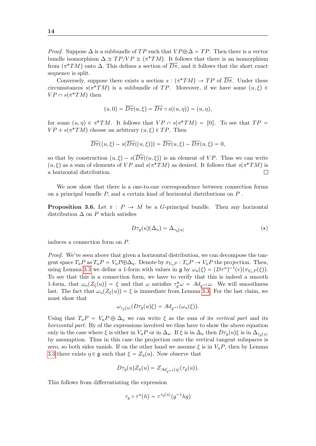*Proof.* Suppose  $\Delta$  is a subbundle of TP such that  $VP \oplus \Delta = TP$ . Then there is a vector bundle isomorphism  $\Delta \cong TP/VP \cong (\pi^*TM)$ . It follows that there is an isomorphism from  $(\pi^*TM)$  onto  $\Delta$ . This defines a section of  $\overline{D\pi}$ , and it follows that the short exact sequence is split.

Conversely, suppose there exists a section  $s : (\pi^*TM) \to TP$  of  $\overline{D\pi}$ . Under these circumstances  $s(\pi^*TM)$  is a subbundle of TP. Moreover, if we have some  $(u, \xi) \in$  $VP \cap s(\pi^*TM)$  then

$$
(u,0)=\overline{D\pi}(u,\xi)=\overline{D\pi}\circ s((u,\eta))=(u,\eta),
$$

for some  $(u, \eta) \in \pi^*TM$ . It follows that  $VP \cap s(\pi^*TM) = \{0\}$ . To see that  $TP =$  $VP + s(\pi^*TM)$  choose an arbitrary  $(u, \xi) \in TP$ . Then

$$
\overline{D\pi}((u,\xi)-s(\overline{D\pi}((u,\xi)))=\overline{D\pi}(u,\xi)-\overline{D\pi}(u,\xi)=0,
$$

so that by construction  $(u, \xi) - s(\overline{D\pi}(u, \xi))$  is an element of VP. Thus we can write  $(u, \xi)$  as a sum of elements of VP and  $s(\pi^*TM)$  as desired. It follows that  $s(\pi^*TM)$  is a horizontal distribution.  $\Box$ 

We now show that there is a one-to-one correspondence between connection forms on a principal bundle P, and a certain kind of horizontal distributions on P .

<span id="page-14-1"></span>**Proposition 3.6.** Let  $\pi$  :  $P \rightarrow M$  be a *G*-principal bundle. Then any horizontal distribution  $\Delta$  on P which satisfies

<span id="page-14-0"></span>
$$
D\tau_g(u)(\Delta_u) = \Delta_{\tau_g(u)}\tag{\star}
$$

induces a connection form on P.

Proof. We've seen above that given a horizontal distribution, we can decompose the tangent space  $T_u P$  as  $T_u P = V_u P \oplus \Delta_u$ . Denote by  $\pi_{V_u} P : T_u P \to V_u P$  the projection. Then, using Lemma [3.3](#page-12-2) we define a 1-form with values in  $\mathfrak{g}$  by  $\omega_u(\xi) = (D\tau^u)^{-1}(e)(\pi_{V_u}P(\xi)).$ To see that this is a connection form, we have to verify that this is indeed a smooth 1-form, that  $\omega_u(Z_\xi(u)) = \xi$  and that  $\omega$  satisfies  $\tau_g^* \omega = Ad_{g^{-1}} \omega$ . We will smoothness last. The fact that  $\omega_u(Z_{\xi}(u)) = \xi$  is immediate from Lemma [3.3.](#page-12-2) For the last claim, we must show that

$$
\omega_{\tau_g(u)}(D\tau_g(u)\xi) = Ad_{g^{-1}}(\omega_u(\xi)).
$$

Using that  $T_u P = V_u P \oplus \Delta_u$  we can write  $\xi$  as the sum of its vertical part and its horizontal part. By of the expressions involved we thus have to show the above equation only in the case where  $\xi$  is either in  $V_uP$  or in  $\Delta_u$ . If  $\xi$  is in  $\Delta_u$  then  $D\tau_q(u)\xi$  is in  $\Delta_{\tau_q(u)}$ by assumption. Thus in this case the projection onto the vertical tangent subspaces is zero, so both sides vanish. If on the other hand we assume  $\xi$  is in  $V_uP$ , then by Lemma [3.3](#page-12-2) there exists  $\eta \in \mathfrak{g}$  such that  $\xi = Z_n(u)$ . Now observe that

$$
D\tau_g(u)Z_\eta(u) = Z_{Ad_{g^{-1}}(\eta)}(\tau_g(u)).
$$

This follows from differentiating the expression

$$
\tau_g \circ \tau^u(h) = \tau^{\tau_g(u)}(g^{-1}hg)
$$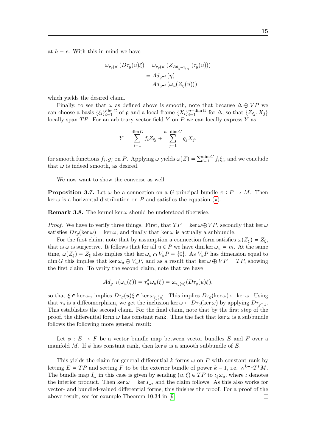at  $h = e$ . With this in mind we have

$$
\omega_{\tau_g(u)}(D\tau_g(u)\xi) = \omega_{\tau_g(u)}(Z_{Ad_{g^{-1}(\eta)}}(\tau_g(u)))
$$

$$
= Ad_{g^{-1}}(\eta)
$$

$$
= Ad_{g^{-1}}(\omega_u(Z_\eta(u)))
$$

which yields the desired claim.

Finally, to see that  $\omega$  as defined above is smooth, note that because  $\Delta \oplus VP$  we can choose a basis  $\{\xi_i\}_{i=1}^{\dim G}$  of  $\mathfrak g$  and a local frame  $\{X_i\}_{i=1}^{n-\dim G}$  for  $\Delta$ , so that  $\{Z_{\xi_i}, X_j\}$ locally span  $TP$ . For an arbitrary vector field Y on P we can locally express Y as

$$
Y = \sum_{i=1}^{\dim G} f_i Z_{\xi_i} + \sum_{j=1}^{n-\dim G} g_j X_j,
$$

for smooth functions  $f_i, g_j$  on P. Applying  $\omega$  yields  $\omega(Z) = \sum_{i=1}^{\dim G} f_i \xi_i$ , and we conclude that  $\omega$  is indeed smooth, as desired.  $\Box$ 

We now want to show the converse as well.

<span id="page-15-0"></span>**Proposition 3.7.** Let  $\omega$  be a connection on a G-principal bundle  $\pi : P \to M$ . Then ker  $\omega$  is a horizontal distribution on P and satisfies the equation  $(\star)$ .

**Remark 3.8.** The kernel ker  $\omega$  should be understood fiberwise.

*Proof.* We have to verify three things. First, that  $TP = \ker \omega \oplus VP$ , secondly that  $\ker \omega$ satisfies  $D\tau_q(\ker \omega) = \ker \omega$ , and finally that  $\ker \omega$  is actually a subbundle.

For the first claim, note that by assumption a connection form satisfies  $\omega(Z_{\xi}) = Z_{\xi}$ , that is  $\omega$  is surjective. It follows that for all  $u \in P$  we have dim ker  $\omega_u = m$ . At the same time,  $\omega(Z_{\xi}) = Z_{\xi}$  also implies that ker  $\omega_u \cap V_uP = \{0\}$ . As  $V_uP$  has dimension equal to dim G this implies that ker  $\omega_u \oplus V_uP$ , and as a result that ker  $\omega \oplus VP = TP$ , showing the first claim. To verify the second claim, note that we have

$$
Ad_{g^{-1}}(\omega_u(\xi)) = \tau_g^* \omega_u(\xi) = \omega_{\tau_g(u)}(D\tau_g(u)\xi),
$$

so that  $\xi \in \ker \omega_u$  implies  $D\tau_g(u)\xi \in \ker \omega_{\tau_g(u)}$ . This implies  $D\tau_g(\ker \omega) \subset \ker \omega$ . Using that  $\tau_g$  is a diffeomorphism, we get the inclusion ker  $\omega \subset D\tau_g(\ker \omega)$  by applying  $D\tau_{g-1}$ . This establishes the second claim. For the final claim, note that by the first step of the proof, the differential form  $\omega$  has constant rank. Thus the fact that ker  $\omega$  is a subbundle follows the following more general result:

Let  $\phi : E \to F$  be a vector bundle map between vector bundles E and F over a manifold M. If  $\phi$  has constant rank, then ker  $\phi$  is a smooth subbundle of E.

This yields the claim for general differential k-forms  $\omega$  on P with constant rank by letting  $E = TP$  and setting F to be the exterior bundle of power  $k - 1$ , i.e.  $\wedge^{k-1}T^*M$ . The bundle map  $I_{\omega}$  in this case is given by sending  $(u, \xi) \in TP$  to  $\iota_{\xi} \omega_u$ , where  $\iota$  denotes the interior product. Then ker  $\omega = \ker I_{\omega}$ , and the claim follows. As this also works for vector- and bundled-valued differential forms, this finishes the proof. For a proof of the above result, see for example Theorem 10.34 in [\[9\]](#page-45-5). $\Box$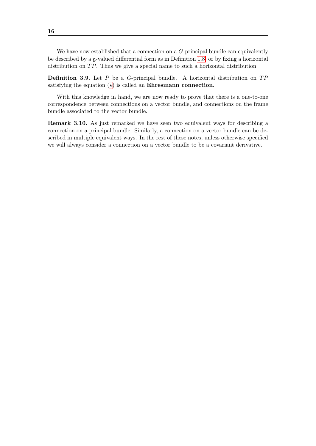We have now established that a connection on a  $G$ -principal bundle can equivalently be described by a g-valued differential form as in Definition [1.8,](#page-4-1) or by fixing a horizontal distribution on  $TP$ . Thus we give a special name to such a horizontal distribution:

**Definition 3.9.** Let  $P$  be a  $G$ -principal bundle. A horizontal distribution on  $TP$ satisfying the equation  $(\star)$  is called an Ehresmann connection.

With this knowledge in hand, we are now ready to prove that there is a one-to-one correspondence between connections on a vector bundle, and connections on the frame bundle associated to the vector bundle.

Remark 3.10. As just remarked we have seen two equivalent ways for describing a connection on a principal bundle. Similarly, a connection on a vector bundle can be described in multiple equivalent ways. In the rest of these notes, unless otherwise specified we will always consider a connection on a vector bundle to be a covariant derivative.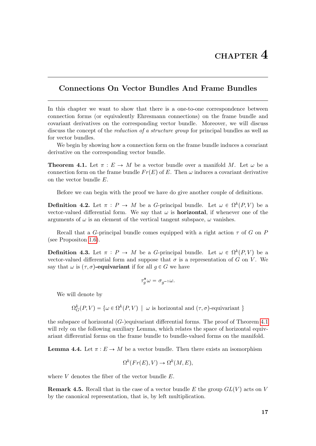## <span id="page-17-0"></span>Connections On Vector Bundles And Frame Bundles

In this chapter we want to show that there is a one-to-one correspondence between connection forms (or equivalently Ehresmann connections) on the frame bundle and covariant derivatives on the corresponding vector bundle. Moreover, we will discuss discuss the concept of the *reduction of a structure group* for principal bundles as well as for vector bundles.

We begin by showing how a connection form on the frame bundle induces a covariant derivative on the corresponding vector bundle.

<span id="page-17-1"></span>**Theorem 4.1.** Let  $\pi : E \to M$  be a vector bundle over a manifold M. Let  $\omega$  be a connection form on the frame bundle  $Fr(E)$  of E. Then  $\omega$  induces a covariant derivative on the vector bundle E.

Before we can begin with the proof we have do give another couple of definitions.

**Definition 4.2.** Let  $\pi : P \to M$  be a G-principal bundle. Let  $\omega \in \Omega^k(P, V)$  be a vector-valued differential form. We say that  $\omega$  is **horizontal**, if whenever one of the arguments of  $\omega$  is an element of the vertical tangent subspace,  $\omega$  vanishes.

Recall that a G-principal bundle comes equipped with a right action  $\tau$  of G on P (see Propositon [1.6\)](#page-4-2).

**Definition 4.3.** Let  $\pi : P \to M$  be a G-principal bundle. Let  $\omega \in \Omega^k(P, V)$  be a vector-valued differential form and suppose that  $\sigma$  is a representation of G on V. We say that  $\omega$  is  $(\tau, \sigma)$ -equivariant if for all  $g \in G$  we have

$$
\tau_g^*\omega=\sigma_{g^{-1}}\omega.
$$

We will denote by

 $\Omega_G^k(P, V) = \{ \omega \in \Omega^k(P, V) \mid \omega \text{ is horizontal and } (\tau, \sigma) \text{-equivariant } \}$ 

the subspace of horizontal  $(G)$ -)equivariant differential forms. The proof of Theorem [4.1](#page-17-1) will rely on the following auxiliary Lemma, which relates the space of horizontal equivariant differential forms on the frame bundle to bundle-valued forms on the manifold.

<span id="page-17-2"></span>**Lemma 4.4.** Let  $\pi : E \to M$  be a vector bundle. Then there exists an isomorphism

$$
\Omega^k(Fr(E), V) \to \Omega^k(M, E),
$$

where  $V$  denotes the fiber of the vector bundle  $E$ .

**Remark 4.5.** Recall that in the case of a vector bundle E the group  $GL(V)$  acts on V by the canonical representation, that is, by left multiplication.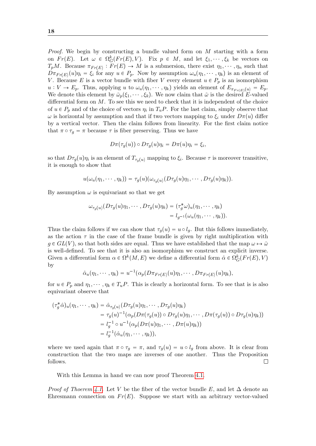Proof. We begin by constructing a bundle valued form on M starting with a form on  $Fr(E)$ . Let  $\omega \in \Omega_G^k(Fr(E), V)$ . Fix  $p \in M$ , and let  $\xi_1, \dots, \xi_k$  be vectors on  $T_pM$ . Because  $\pi_{Fr(E)}: Fr(E) \to M$  is a submersion, there exist  $\eta_1, \dots, \eta_n$  such that  $D\pi_{Fr(E)}(u)\eta_i = \xi_i$  for any  $u \in P_p$ . Now by assumption  $\omega_u(\eta_1, \dots, \eta_k)$  is an element of V. Because E is a vector bundle with fiber V every element  $u \in P_p$  is an isomorphism  $u: V \to E_p$ . Thus, applying u to  $\omega_u(\eta_1, \dots, \eta_k)$  yields an element of  $E_{\pi_{F_r(E)}(u)} = E_p$ . We denote this element by  $\check{\omega}_p(\xi_1, \dots, \xi_k)$ . We now claim that  $\check{\omega}$  is the desired E-valued differential form on  $M$ . To see this we need to check that it is independent of the choice of  $u \in P_p$  and of the choice of vectors  $\eta_i$  in  $T_uP$ . For the last claim, simply observe that  $ω$  is horizontal by assumption and that if two vectors mapping to  $ξ<sub>i</sub>$  under  $Dπ(u)$  differ by a vertical vector. Then the claim follows from linearity. For the first claim notice that  $\pi \circ \tau_g = \pi$  because  $\tau$  is fiber preserving. Thus we have

$$
D\pi(\tau_g(u)) \circ D\tau_g(u)\eta_i = D\pi(u)\eta_i = \xi_i,
$$

so that  $D\tau_g(u)\eta_i$  is an element of  $T_{\tau_g(u)}$  mapping to  $\xi_i$ . Because  $\tau$  is moreover transitive, it is enough to show that

$$
u(\omega_u(\eta_1,\cdots,\eta_k))=\tau_g(u)(\omega_{\tau_g(u)}(D\tau_g(u)\eta_1,\cdots,D\tau_g(u)\eta_k)).
$$

By assumption  $\omega$  is equivariant so that we get

$$
\omega_{\tau_g(u)}(D\tau_g(u)\eta_1,\cdots,D\tau_g(u)\eta_k)=(\tau_g^*\omega)_u(\eta_1,\cdots,\eta_k)
$$
  
= 
$$
l_{g^{-1}}(\omega_u(\eta_1,\cdots,\eta_k)).
$$

Thus the claim follows if we can show that  $\tau_q(u) = u \circ l_q$ . But this follows immediately, as the action  $\tau$  in the case of the frame bundle is given by right multiplication with  $g \in GL(V)$ , so that both sides are equal. Thus we have established that the map  $\omega \mapsto \check{\omega}$ is well-defined. To see that it is also an isomorphism we construct an explicit inverse. Given a differential form  $\alpha \in \Omega^k(M, E)$  we define a differential form  $\hat{\alpha} \in \Omega^k_G(Fr(E), V)$ by

$$
\hat{\alpha}_u(\eta_1,\cdots,\eta_k)=u^{-1}(\alpha_p(D\pi_{Fr(E)}(u)\eta_1,\cdots,D\pi_{Fr(E)}(u)\eta_k),
$$

for  $u \in P_p$  and  $\eta_1, \dots, \eta_k \in T_uP$ . This is clearly a horizontal form. To see that is is also equivariant observe that

$$
(\tau_g^* \hat{\alpha})_u(\eta_1, \cdots, \eta_k) = \hat{\alpha}_{\tau_g(u)}(D\tau_g(u)\eta_1, \cdots, D\tau_g(u)\eta_k)
$$
  
\n
$$
= \tau_g(u)^{-1}(\alpha_p(D\pi(\tau_g(u)) \circ D\tau_g(u)\eta_1, \cdots, D\pi(\tau_g(u)) \circ D\tau_g(u)\eta_k))
$$
  
\n
$$
= l_g^{-1} \circ u^{-1}(\alpha_p(D\pi(u)\eta_1, \cdots, D\pi(u)\eta_k))
$$
  
\n
$$
= l_g^{-1}(\hat{\alpha}_u(\eta_1, \cdots, \eta_k)),
$$

where we used again that  $\pi \circ \tau_g = \pi$ , and  $\tau_g(u) = u \circ l_g$  from above. It is clear from construction that the two maps are inverses of one another. Thus the Proposition follows.  $\Box$ 

With this Lemma in hand we can now proof Theorem [4.1.](#page-17-1)

*Proof of Thoerem [4.1.](#page-17-1)* Let V be the fiber of the vector bundle E, and let  $\Delta$  denote an Ehresmann connection on  $Fr(E)$ . Suppose we start with an arbitrary vector-valued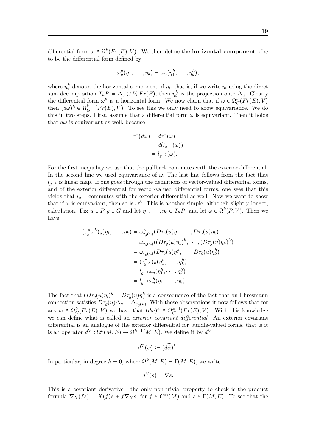differential form  $\omega \in \Omega^k(Fr(E), V)$ . We then define the **horizontal component** of  $\omega$ to be the differential form defined by

$$
\omega_u^h(\eta_1,\cdots,\eta_k)=\omega_u(\eta_1^h,\cdots,\eta_k^h),
$$

where  $\eta_i^h$  denotes the horizontal component of  $\eta_i$ , that is, if we write  $\eta_i$  using the direct sum decomposition  $T_u P = \Delta_u \oplus V_u Fr(E)$ , then  $\eta_i^h$  is the projection onto  $\Delta_u$ . Clearly the differential form  $\omega^h$  is a horizontal form. We now claim that if  $\omega \in \Omega_G^k(Fr(E), V)$ then  $(d\omega)^h \in \Omega_G^{k+1}(Fr(E), V)$ . To see this we only need to show equivariance. We do this in two steps. First, assume that a differential form  $\omega$  is equivariant. Then it holds that  $d\omega$  is equivariant as well, because

$$
\tau^*(d\omega) = d\tau^*(\omega)
$$
  
=  $d(l_{g^{-1}}(\omega))$   
=  $l_{g^{-1}}(\omega)$ .

For the first inequality we use that the pullback commutes with the exterior differential. In the second line we used equivariance of  $\omega$ . The last line follows from the fact that  $l_{q-1}$  is linear map. If one goes through the definitions of vector-valued differential forms, and of the exterior differential for vector-valued differential forms, one sees that this yields that  $l_{q-1}$  commutes with the exterior differential as well. Now we want to show that if  $\omega$  is equivariant, then so is  $\omega^h$ . This is another simple, although slightly longer, calculation. Fix  $u \in P, g \in G$  and let  $\eta_1, \dots, \eta_k \in T_uP$ , and let  $\omega \in \Omega^k(P, V)$ . Then we have

$$
(\tau_g^*\omega^h)_u(\eta_1, \cdots, \eta_k) = \omega^h_{\tau_g(u)}(D\tau_g(u)\eta_1, \cdots, D\tau_g(u)\eta_k)
$$
  
\n
$$
= \omega_{\tau_g(u)}((D\tau_g(u)\eta_1)^h, \cdots, (D\tau_g(u)\eta_k)^h)
$$
  
\n
$$
= \omega_{\tau_g(u)}(D\tau_g(u)\eta_1^h, \cdots, D\tau_g(u)\eta_k^h)
$$
  
\n
$$
= (\tau_g^*\omega)_u(\eta_1^h, \cdots, \eta_k^h)
$$
  
\n
$$
= l_{g^{-1}}\omega_u(\eta_1^h, \cdots, \eta_k^h)
$$
  
\n
$$
= l_{g^{-1}}\omega_u^h(\eta_1, \cdots, \eta_k).
$$

The fact that  $(D\tau_g(u)\eta_i)^h = D\tau_g(u)\eta_i^h$  is a consequence of the fact that an Ehresmann connection satisfies  $D\tau_g(u)\Delta_u = \Delta_{\tau_g(u)}$ . With these observations it now follows that for any  $\omega \in \Omega_G^k(Fr(E), V)$  we have that  $(d\omega)^h \in \Omega_G^{k+1}(Fr(E), V)$ . With this knowledge we can define what is called an exterior covariant differential. An exterior covariant differential is an analogue of the exterior differential for bundle-valued forms, that is it is an operator  $d^{\nabla} : \Omega^k(M, E) \to \Omega^{k+1}(M, E)$ . We define it by  $d^{\nabla}$ 

$$
d^{\nabla}(\alpha) := (\widetilde{d\alpha})^h.
$$

In particular, in degree  $k = 0$ , where  $\Omega^k(M, E) = \Gamma(M, E)$ , we write

$$
d^{\nabla}(s) = \nabla s.
$$

This is a covariant derivative - the only non-trivial property to check is the product formula  $\nabla_X(f s) = X(f)s + f\nabla_X s$ , for  $f \in C^{\infty}(M)$  and  $s \in \Gamma(M, E)$ . To see that the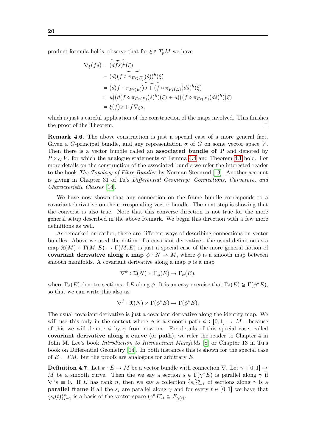product formula holds, observe that for  $\xi \in T_pM$  we have

$$
\nabla_{\xi}(fs) = \overline{(df_s)^h(\xi)}
$$
  
=  $(d((f \circ \pi_{Fr(E)})\hat{s}))^h(\xi)$   
=  $(d(f \circ \pi_{Fr(E)})\hat{s} + (f \circ \pi_{Fr(E)})d\hat{s})^h(\xi)$   
=  $u((d(f \circ \pi_{Fr(E)})\hat{s})^h)(\xi) + u(((f \circ \pi_{Fr(E)})d\hat{s})^h)(\xi)$   
=  $\xi(f)s + f\nabla_{\xi}s$ ,

which is just a careful application of the construction of the maps involved. This finishes the proof of the Theorem.  $\Box$ 

Remark 4.6. The above construction is just a special case of a more general fact. Given a G-principal bundle, and any representation  $\sigma$  of G on some vector space V. Then there is a vector bundle called an associated bundle of P and denoted by  $P \times_G V$ , for which the analogue statements of Lemma [4.4](#page-17-2) and Theorem [4.1](#page-17-1) hold. For more details on the construction of the associated bundle we refer the interested reader to the book The Topology of Fibre Bundles by Norman Steenrod [\[13\]](#page-45-6). Another account is giving in Chapter 31 of Tu's Differential Geometry: Connections, Curvature, and Characteristic Classes [\[14\]](#page-45-4).

We have now shown that any connection on the frame bundle corresponds to a covariant derivative on the corresponding vector bundle. The next step is showing that the converse is also true. Note that this converse direction is not true for the more general setup described in the above Remark. We begin this direction with a few more definitions as well.

As remarked on earlier, there are different ways of describing connections on vector bundles. Above we used the notion of a covariant derivative - the usual definition as a map  $\mathfrak{X}(M) \times \Gamma(M, E) \to \Gamma(M, E)$  is just a special case of the more general notion of covariant derivative along a map  $\phi : N \to M$ , where  $\phi$  is a smooth map between smooth manifolds. A covariant derivative along a map  $\phi$  is a map

$$
\nabla^{\phi} : \mathfrak{X}(N) \times \Gamma_{\phi}(E) \to \Gamma_{\phi}(E),
$$

where  $\Gamma_{\phi}(E)$  denotes sections of E along  $\phi$ . It is an easy exercise that  $\Gamma_{\phi}(E) \cong \Gamma(\phi^*E)$ , so that we can write this also as

$$
\nabla^{\phi} : \mathfrak{X}(N) \times \Gamma(\phi^* E) \to \Gamma(\phi^* E).
$$

The usual covariant derivative is just a covariant derivative along the identity map. We will use this only in the context where  $\phi$  is a smooth path  $\phi : [0, 1] \rightarrow M$  - because of this we will denote  $\phi$  by  $\gamma$  from now on. For details of this special case, called covariant derivative along a curve (or path), we refer the reader to Chapter 4 in John M. Lee's book Introduction to Riemannian Manifolds [\[8\]](#page-45-7) or Chapter 13 in Tu's book on Differential Geometry [\[14\]](#page-45-4). In both instances this is shown for the special case of  $E = TM$ , but the proofs are analogous for arbitrary E.

**Definition 4.7.** Let  $\pi : E \to M$  be a vector bundle with connection  $\nabla$ . Let  $\gamma : [0, 1] \to$ M be a smooth curve. Then the we say a section  $s \in \Gamma(\gamma^*E)$  is parallel along  $\gamma$  if  $\nabla^{\gamma}s \equiv 0$ . If E has rank n, then we say a collection  $\{s_i\}_{i=1}^n$  of sections along  $\gamma$  is a **parallel frame** if all the  $s_i$  are parallel along  $\gamma$  and for every  $t \in [0, 1]$  we have that  $\{s_i(t)\}_{i=1}^n$  is a basis of the vector space  $(\gamma^* E)_t \cong E_{\gamma(t)}$ .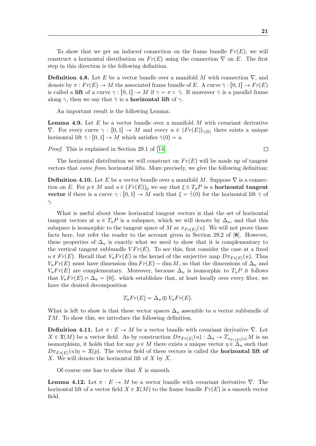**Definition 4.8.** Let E be a vector bundle over a manifold M with connection  $\nabla$ , and denote by  $\pi : Fr(E) \to M$  the associated frame bundle of E. A curve  $\bar{\gamma} : [0, 1] \to Fr(E)$ is called a lift of a curve  $\gamma : [0, 1] \to M$  if  $\gamma = \pi \circ \bar{\gamma}$ . If moreover  $\bar{\gamma}$  is a parallel frame along  $\gamma$ , then we say that  $\bar{\gamma}$  is a **horizontal lift** of  $\gamma$ .

An important result is the following Lemma.

**Lemma 4.9.** Let  $E$  be a vector bundle over a manifold  $M$  with covariant derivative  $\nabla$ . For every curve  $\gamma : [0, 1] \to M$  and every  $u \in (Fr(E))_{\gamma(0)}$  there exists a unique horizontal lift  $\bar{\gamma}$  : [0, 1]  $\rightarrow M$  which satisfies  $\bar{\gamma}(0) = u$ .

Proof. This is explained in Section 29.1 of [\[14\]](#page-45-4).

The horizontal distribution we will construct on  $Fr(E)$  will be made up of tangent vectors that come from horizontal lifts. More precisely, we give the following definition:

**Definition 4.10.** Let E be a vector bundle over a manifold M. Suppose  $\nabla$  is a connection on E. For  $p \in M$  and  $u \in (Fr(E))_p$  we say that  $\xi \in T_uP$  is a **horizontal tangent** vector if there is a curve  $\gamma : [0, 1] \to M$  such that  $\xi = \overline{\gamma}(0)$  for the horizontal lift  $\overline{\gamma}$  of  $\gamma$ .

What is useful about these horizontal tangent vectors is that the set of horizontal tangent vectors at  $u \in T_uP$  is a subspace, which we will denote by  $\Delta_u$ , and that this subspace is isomorphic to the tangent space of M at  $\pi_{Fr(E)}(u)$ . We will not prove these facts here, but refer the reader to the account given in Section 29.2 of [8]. However, these properties of  $\Delta_u$  is exactly what we need to show that it is complementary to the vertical tangent subbundle  $V F r(E)$ . To see this, first consider the case at a fixed  $u \in Fr(E)$ . Recall that  $V_u Fr(E)$  is the kernel of the surjective map  $D\pi_{Fr(E)}(u)$ . Thus  $V_u Fr(E)$  must have dimension dim  $Fr(E) - \dim M$ , so that the dimensions of  $\Delta_u$  and  $V_u Fr(E)$  are complementary. Moreover, because  $\Delta_u$  is isomorphic to  $T_u P$  it follows that  $V_u Fr(E) \cap \Delta_u = \{0\}$ , which establishes that, at least locally over every fiber, we have the desired decomposition

$$
T_u Fr(E) = \Delta_u \oplus V_u Fr(E).
$$

What is left to show is that these vector spaces  $\Delta_u$  assemble to a vector subbundle of TM. To show this, we introduce the following definition.

**Definition 4.11.** Let  $\pi : E \to M$  be a vector bundle with covariant derivative  $\nabla$ . Let  $X \in \mathfrak{X}(M)$  be a vector field. As by construction  $D\pi_{Fr(E)}(u) : \Delta_u \to T_{\pi_{Fr(E)}(u)}M$  is an isomorphism, it holds that for any  $p \in M$  there exists a unique vector  $\eta \in \Delta_u$  such that  $D\pi_{Fr(E)}(u)\eta = \mathfrak{X}(p)$ . The vector field of these vectors is called the **horizontal lift of** X. We will denote the horizontal lift of  $X$  by  $X$ .

Of course one has to show that  $\bar{X}$  is smooth.

**Lemma 4.12.** Let  $\pi : E \to M$  be a vector bundle with covariant derivative  $\nabla$ . The horizontal lift of a vector field  $X \in \mathfrak{X}(M)$  to the frame bundle  $Fr(E)$  is a smooth vector field.

 $\Box$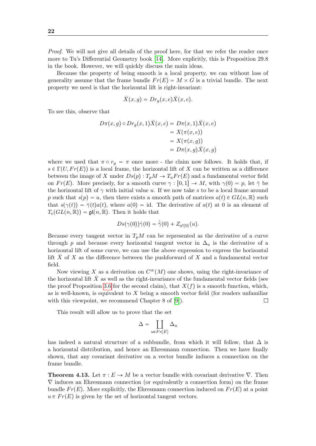Proof. We will not give all details of the proof here, for that we refer the reader once more to Tu's Differential Geometry book [\[14\]](#page-45-4). More explicitly, this is Proposition 29.8 in the book. However, we will quickly discuss the main ideas.

Because the property of being smooth is a local property, we can without loss of generality assume that the frame bundle  $Fr(E) = M \times G$  is a trivial bundle. The next property we need is that the horizontal lift is right-invariant:

$$
\bar{X}(x,g) = Dr_g(x,e)\bar{X}(x,e).
$$

To see this, observe that

$$
D\pi(x,g) \circ Dr_g(x,1)\overline{X}(x,e) = D\pi(x,1)\overline{X}(x,e)
$$
  
=  $X(\pi(x,e))$   
=  $X(\pi(x,g))$   
=  $D\pi(x,g)\overline{X}(x,g)$ 

where we used that  $\pi \circ r_g = \pi$  once more - the claim now follows. It holds that, if  $s \in \Gamma(U, Fr(E))$  is a local frame, the horizontal lift of X can be written as a difference between the image of X under  $Ds(p) : T_pM \to T_uFr(E)$  and a fundamental vector field on  $Fr(E)$ . More precisely, for a smooth curve  $\gamma : [0, 1] \to M$ , with  $\gamma(0) = p$ , let  $\bar{\gamma}$  be the horizontal lift of  $\gamma$  with initial value u. If we now take s to be a local frame around p such that  $s(p) = u$ , then there exists a smooth path of matrices  $a(t) \in GL(n, \mathbb{R})$  such that  $s(\gamma(t)) = \overline{\gamma}(t)a(t)$ , where  $a(0) = id$ . The derivative of  $a(t)$  at 0 is an element of  $T_e(GL(n, \mathbb{R})) = \mathfrak{gl}(n, \mathbb{R})$ . Then it holds that

$$
Ds(\gamma(0))\dot{\gamma}(0) = \dot{\overline{\gamma}}(0) + Z_{a'(0)}(u).
$$

Because every tangent vector in  $T_pM$  can be represented as the derivative of a curve through p and because every horizontal tangent vector in  $\Delta_u$  is the derivative of a horizontal lift of some curve, we can use the above expression to express the horizontal lift  $\bar{X}$  of X as the difference between the pushforward of X and a fundamental vector field.

Now viewing X as a derivation on  $C^{\infty}(M)$  one shows, using the right-invariance of the horizontal lift  $X$  as well as the right-invariance of the fundamental vector fields (see the proof Proposition [3.6](#page-14-1) for the second claim), that  $X(f)$  is a smooth function, which, as is well-known, is equivalent to  $X$  being a smooth vector field (for readers unfamiliar with this viewpoint, we recommend Chapter 8 of [\[9\]](#page-45-5)). П

This result will allow us to prove that the set

$$
\Delta = \coprod_{u \in Fr(E)} \Delta_u
$$

has indeed a natural structure of a subbundle, from which it will follow, that  $\Delta$  is a horizontal distribution, and hence an Ehresmann connection. Then we have finally shown, that any covariant derivative on a vector bundle induces a connection on the frame bundle.

<span id="page-22-0"></span>**Theorem 4.13.** Let  $\pi : E \to M$  be a vector bundle with covariant derivative  $\nabla$ . Then  $\nabla$  induces an Ehresmann connection (or equivalently a connection form) on the frame bundle  $Fr(E)$ . More explicitly, the Ehresmann connection induced on  $Fr(E)$  at a point  $u \in Fr(E)$  is given by the set of horizontal tangent vectors.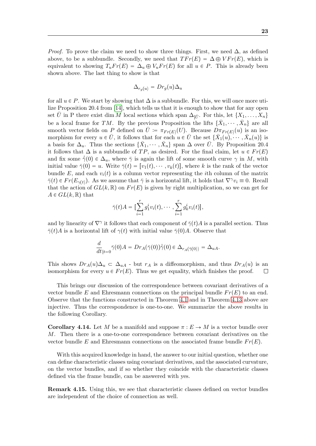$$
\Delta_{r_g(u)} = Dr_g(u)\Delta_u
$$

for all  $u \in P$ . We start by showing that  $\Delta$  is a subbundle. For this, we will once more utilize Proposition 20.4 from [\[14\]](#page-45-4), which tells us that it is enough to show that for any open set U in P there exist dim M local sections which span  $\Delta_{|\bar{U}}$ . For this, let  $\{X_1, \ldots, X_n\}$ be a local frame for TM. By the previous Proposition the lifts  $\{\bar{X}_1, \dots, \bar{X}_n\}$  are all smooth vector fields on P defined on  $\overline{U} := \pi_{Fr(E)}(U)$ . Because  $D\pi_{Fr(E)}(u)$  is an isomorphism for every  $u \in \overline{U}$ , it follows that for each  $u \in \overline{U}$  the set  $\{\overline{X}_1(u), \dots, \overline{X}_n(u)\}$  is a basis for  $\Delta_u$ . Thus the sections  $\{\bar{X}_1, \dots, \bar{X}_n\}$  span  $\Delta$  over  $\bar{U}$ . By Proposition 20.4 it follows that  $\Delta$  is a subbundle of TP, as desired. For the final claim, let  $u \in Fr(E)$ and fix some  $\bar{\gamma}(0) \in \Delta_u$ , where  $\bar{\gamma}$  is again the lift of some smooth curve  $\gamma$  in M, with initial value  $\bar{\gamma}(0) = u$ . Write  $\bar{\gamma}(t) = [v_1(t), \cdots, v_k(t)]$ , where k is the rank of the vector bundle E, and each  $v_i(t)$  is a column vector representing the *i*th column of the matrix  $\bar{\gamma}(t) \in Fr(E_{\gamma(t)})$ . As we assume that  $\bar{\gamma}$  is a horizontal lift, it holds that  $\nabla^{\gamma}v_i \equiv 0$ . Recall that the action of  $GL(k, \mathbb{R})$  on  $Fr(E)$  is given by right multiplication, so we can get for  $A \in GL(k, \mathbb{R})$  that

$$
\bar{\gamma}(t)A = \left[\sum_{i=1}^r g_1^iv_i(t), \cdots, \sum_{i=1}^r g_k^iv_i(t)\right],
$$

and by linearity of  $\nabla^{\gamma}$  it follows that each component of  $\bar{\gamma}(t)A$  is a parallel section. Thus  $\bar{\gamma}(t)A$  is a horizontal lift of  $\gamma(t)$  with initial value  $\bar{\gamma}(0)A$ . Observe that

$$
\frac{d}{dt}_{|t=0}\bar{\gamma}(0)A=Dr_A(\bar{\gamma}(0))\dot{\bar{\gamma}}(0)\in\Delta_{r_A(\bar{\gamma}(0))}=\Delta_{uA}.
$$

This shows  $Dr_A(u)\Delta_u \subset \Delta_{uA}$  - but  $r_A$  is a diffeomorphism, and thus  $Dr_A(u)$  is an isomorphism for every  $u \in Fr(E)$ . Thus we get equality, which finishes the proof.  $\Box$ 

This brings our discussion of the correspondence between covariant derivatives of a vector bundle E and Ehresmann connections on the principal bundle  $Fr(E)$  to an end. Observe that the functions constructed in Theorem [4.1](#page-17-1) and in Theorem [4.13](#page-22-0) above are injective. Thus the correspondence is one-to-one. We summarize the above results in the following Corollary.

<span id="page-23-1"></span>**Corollary 4.14.** Let M be a manifold and suppose  $\pi : E \to M$  is a vector bundle over M. Then there is a one-to-one correspondence between covariant derivatives on the vector bundle E and Ehresmann connections on the associated frame bundle  $Fr(E)$ .

With this acquired knowledge in hand, the answer to our initial question, whether one can define characteristic classes using covariant derivatives, and the associated curvature, on the vector bundles, and if so whether they coincide with the characteristic classes defined via the frame bundle, can be answered with yes.

<span id="page-23-0"></span>Remark 4.15. Using this, we see that characteristic classes defined on vector bundles are independent of the choice of connection as well.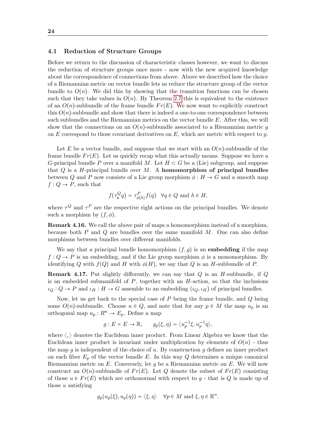#### 24

#### 4.1 Reduction of Structure Groups

Before we return to the discussion of characteristic classes however, we want to discuss the reduction of structure groups once more - now with the new acquired knowledge about the correspondence of connections from above. Above we described how the choice of a Riemannian metric on vector bundle lets us reduce the structure group of the vector bundle to  $O(n)$ . We did this by showing that the transition functions can be chosen such that they take values in  $O(n)$ . By Theorem [2.7](#page-9-2) this is equivalent to the existence of an  $O(n)$ -subbundle of the frame bundle  $Fr(E)$ . We now want to explicitly construct this  $O(n)$ -subbundle and show that there is indeed a one-to-one correspondence between such subbundles and the Riemannian metrics on the vector bundle E. After this, we will show that the connections on an  $O(n)$ -subbundle associated to a Riemannian metric g on  $E$  correspond to those covariant derivatives on  $E$ , which are metric with respect to  $q$ .

Let E be a vector bundle, and suppose that we start with an  $O(n)$ -subbundle of the frame bundle  $Fr(E)$ . Let us quickly recap what this actually means. Suppose we have a G-principal bundle P over a manifold M. Let  $H \subset G$  be a (Lie) subgroup, and suppose that  $Q$  is a H-principal bundle over  $M$ . A homomorphism of principal bundles between Q and P now consists of a Lie group morphism  $\phi : H \to G$  and a smooth map  $f: Q \to P$ , such that

$$
f(\tau_h^Q q) = \tau_{\phi(h)}^P f(q) \quad \forall q \in Q \text{ and } h \in H,
$$

where  $\tau^{Q}$  and  $\tau^{P}$  are the respective right actions on the principal bundles. We denote such a morphism by  $(f, \phi)$ .

Remark 4.16. We call the above pair of maps a homomorphism instead of a morphism, because both  $P$  and  $Q$  are bundles over the same manifold  $M$ . One can also define morphisms between bundles over different manifolds.

We say that a principal bundle homomorphism  $(f, g)$  is an embedding if the map  $f: Q \to P$  is an embedding, and if the Lie group morphism  $\phi$  is a monomorphism. By identifying Q with  $f(Q)$  and H with  $\phi(H)$ , we say that Q is an H-subbundle of P.

**Remark 4.17.** Put slightly differently, we can say that  $Q$  is an  $H$ -subbundle, if  $Q$ is an embedded submanifold of  $P$ , together with an  $H$ -action, so that the inclusions  $\iota_Q: Q \to P$  and  $\iota_H: H \to G$  assemble to an embedding  $(\iota_Q, \iota_H)$  of principal bundles.

Now, let us get back to the special case of P being the frame bundle, and Q being some  $O(n)$ -subbundle. Choose  $u \in Q$ , and note that for any  $p \in M$  the map  $u_p$  is an orthogonal map  $u_p: R^n \to E_p$ . Define a map

$$
g: E \times E \to \mathbb{R}, \qquad g_p(\xi, \eta) = \langle u_p^{-1} \xi, u_p^{-1} \eta \rangle,
$$

where  $\langle, \rangle$  denotes the Euclidean inner product. From Linear Algebra we know that the Euclidean inner product is invariant under multiplication by elements of  $O(n)$  - thus the map g is independent of the choice of u. By construction g defines an inner product on each fiber  $E_p$  of the vector bundle E. In this way Q determines a unique canonical Riemannian metric on  $E$ . Conversely, let q be a Riemannian metric on  $E$ . We will now construct an  $O(n)$ -subbundle of  $Fr(E)$ . Let Q denote the subset of  $Fr(E)$  consisting of those  $u \in Fr(E)$  which are orthonormal with respect to g - that is Q is made up of those  $u$  satisfying

$$
g_p(u_p(\xi), u_p(\eta)) = \langle \xi, \eta \rangle \quad \forall p \in M \text{ and } \xi, \eta \in \mathbb{R}^n.
$$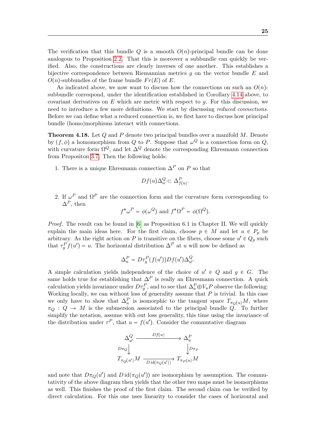The verification that this bundle Q is a smooth  $O(n)$ -principal bundle can be done analogous to Proposition [2.2.](#page-8-2) That this is moreover a subbundle can quickly be verified. Also, the constructions are clearly inverses of one another. This establishes a bijective correspondence between Riemannian metrics  $q$  on the vector bundle  $E$  and  $O(n)$ -subbundles of the frame bundle  $Fr(E)$  of E.

As indicated above, we now want to discuss how the connections on such an  $O(n)$ subbundle correspond, under the identification established in Corollary [4.14](#page-23-1) above, to covariant derivatives on  $E$  which are metric with respect to  $q$ . For this discussion, we need to introduce a few more definitions. We start by discussing reduced connections. Before we can define what a reduced connection is, we first have to discuss how principal bundle (homo)morphisms interact with connections.

<span id="page-25-0"></span>**Theorem 4.18.** Let Q and P denote two principal bundles over a manifold M. Denote by  $(f, \phi)$  a homomorphism from Q to P. Suppose that  $\omega^Q$  is a connection form on Q, with curvature form  $\Omega^Q$ , and let  $\Delta^Q$  denote the corresponding Ehresmann connection from Propositon [3.7.](#page-15-0) Then the following holds:

1. There is a unique Ehresmann connection  $\Delta^P$  on P so that

$$
Df(u)\Delta_u^Q \subset \Delta_{f(u)}^P.
$$

2. If  $\omega^P$  and  $\Omega^P$  are the connection form and the curvature form corresponding to  $\Delta^P$ , then

$$
f^*\omega^P = \phi(\omega^Q)
$$
 and  $f^*\Omega^P = \phi(\Omega^Q)$ .

*Proof.* The result can be found in  $[6]$  as Proposition 6.1 in Chapter II. We will quickly explain the main ideas here. For the first claim, choose  $p \in M$  and let  $u \in P_p$  be arbitrary. As the right action on P is transitive on the fibers, choose some  $u' \in Q_p$  such that  $\tau_g^P f(u') = u$ . The horizontal distribution  $\Delta^P$  at u will now be defined as

$$
\Delta_u^P = D\tau_g^P(f(u'))Df(u')\Delta_{u'}^Q.
$$

A simple calculation yields independence of the choice of  $u' \in Q$  and  $g \in G$ . The same holds true for establishing that  $\Delta^P$  is really an Ehresmann connection. A quick calculation yields invariance under  $D\tau_g^P$ , and to see that  $\Delta_u^P \oplus V_uP$  observe the following: Working locally, we can without loss of generality assume that  $P$  is trivial. In this case we only have to show that  $\Delta_u^P$  is isomorphic to the tangent space  $T_{\pi_Q(u)}M$ , where  $\pi_Q: Q \to M$  is the submersion associated to the principal bundle Q. To further simplify the notation, assume with out loss generality, this time using the invariance of the distribution under  $\tau^P$ , that  $u = f(u')$ . Consider the commutative diagram

$$
\Delta_u^Q \xrightarrow{Df(u)} \Delta_u^P
$$
\n
$$
D\pi_Q \downarrow \qquad D\pi_P
$$
\n
$$
T_{\pi_Q(u')}M \xrightarrow{D \operatorname{id}(\pi_Q(u'))} T_{\pi_P(u)}M
$$

and note that  $D\pi_Q(u')$  and  $D\operatorname{id}(\pi_Q(u'))$  are isomorphism by assumption. The commutativity of the above diagram then yields that the other two maps must be isomorphisms as well. This finishes the proof of the first claim. The second claim can be verified by direct calculation. For this one uses linearity to consider the cases of horizontal and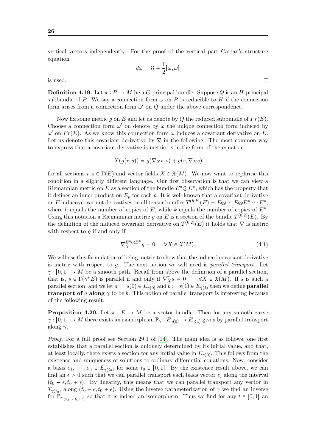vertical vectors independently. For the proof of the vertical part Cartan's structure equation

 $d\omega = \Omega + \frac{1}{2}$  $\frac{1}{2}[\omega,\omega]$ 

is used.

**Definition 4.19.** Let  $\pi : P \to M$  be a G-principal bundle. Suppose Q is an H-principal subbundle of P. We say a connection form  $\omega$  on P is reducible to H if the connection form arises from a connection form  $\omega'$  on  $Q$  under the above correspondence.

Now fix some metric g on E and let us denote by Q the reduced subbundle of  $Fr(E)$ . Choose a connection form  $\omega'$  on denote by  $\omega$  the unique connection form induced by  $\omega'$  on  $Fr(E)$ . As we know this connection form  $\omega$  induces a covariant derivative on E. Let us denote this covariant derivative by  $\nabla$  in the following. The most common way to express that a covariant derivative is metric, is in the form of the equation

$$
X(g(r,s)) = g(\nabla_X r, s) + g(r, \nabla_X s)
$$

for all sections  $r, s \in \Gamma(E)$  and vector fields  $X \in \mathfrak{X}(M)$ . We now want to rephrase this condition in a slightly different language. Our first observation is that we can view a Riemannian metric on E as a section of the bundle  $E^* \otimes E^*$ , which has the property that it defines an inner product on  $E_p$  for each p. It is well-known that a covariant derivative on E induces covariant derivatives on all tensor bundles  $T^{(h,k)}(E) = E \otimes \cdots E \otimes E^* \cdots E^*$ , where h equals the number of copies of  $E$ , while k equals the number of copies of  $E^*$ . Using this notation a Riemannian metric g on E is a section of the bundle  $T^{(0,2)}(E)$ . By the definition of the induced covariant derivative on  $T^{(0,2)}(E)$  it holds that  $\nabla$  is metric with respect to  $q$  if and only if

<span id="page-26-0"></span>
$$
\nabla_X^{E^* \otimes E^*} g = 0, \quad \forall X \in \mathfrak{X}(M). \tag{4.1}
$$

We will use this formulation of being metric to show that the induced covariant derivative is metric with respect to  $q$ . The next notion we will need is *parallel transport*. Let  $\gamma: [0, 1] \to M$  be a smooth path. Recall from above the definition of a parallel section, that is,  $s \in \Gamma(\gamma^*E)$  is parallel if and only if  $\nabla^2$  $\forall X \in \mathfrak{X}(M)$ . If s is such a parallel section, and we let  $a := s(0) \in E_{\gamma(0)}$  and  $b := s(1) \in E_{\gamma(1)}$  then we define **parallel transport of** a along  $\gamma$  to be b. This notion of parallel transport is interesting because of the following result:

**Proposition 4.20.** Let  $\pi : E \to M$  be a vector bundle. Then for any smooth curve  $\gamma : [0, 1] \to M$  there exists an isomorphism  $\mathbb{P}_{\gamma} : E_{\gamma(0)} \to E_{\gamma(1)}$  given by parallel transport along  $\gamma$ .

Proof. For a full proof see Section 29.1 of [\[14\]](#page-45-4). The main idea is as follows, one first establishes that a parallel section is uniquely determined by its initial value, and that, at least locally, there exists a section for any initial value in  $E_{\gamma(0)}$ . This follows from the existence and uniqueness of solutions to ordinary differential equations. Now, consider a basis  $e_1, \dots, e_n \in E_{\gamma(t_0)}$  for some  $t_0 \in [0, 1]$ . By the existence result above, we can find an  $\epsilon > 0$  such that we can parallel transport each basis vector  $e_i$  along the interval  $(t_0 - \epsilon, t_0 + \epsilon)$ . By linearity, this means that we can parallel transport any vector in  $T_{\gamma(t_0)}$  along  $(t_0 - \epsilon, t_0 + \epsilon)$ . Using the inverse parameterization of  $\gamma$  we find an inverse for  $\mathbb{P}_{\gamma_{|(t_0-\epsilon,t_0+\epsilon)}}$  so that it is indeed an isomorphism. Thus we find for any  $t \in [0,1]$  an

 $\Box$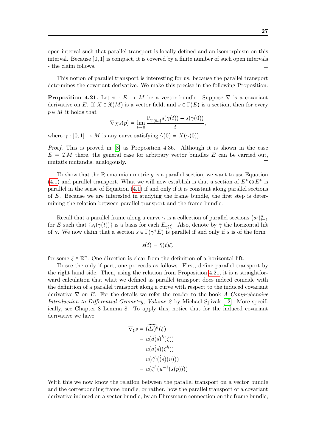open interval such that parallel transport is locally defined and an isomorphism on this interval. Because  $[0, 1]$  is compact, it is covered by a finite number of such open intervals - the claim follows.  $\Box$ 

This notion of parallel transport is interesting for us, because the parallel transport determines the covariant derivative. We make this precise in the following Proposition.

<span id="page-27-0"></span>**Proposition 4.21.** Let  $\pi : E \to M$  be a vector bundle. Suppose  $\nabla$  is a covariant derivative on E. If  $X \in \mathfrak{X}(M)$  is a vector field, and  $s \in \Gamma(E)$  is a section, then for every  $p \in M$  it holds that

$$
\nabla_X s(p) = \lim_{t \to 0} \frac{\mathbb{P}_{\gamma_{|[0,t]} } s(\gamma(t)) - s(\gamma(0))}{t},
$$

where  $\gamma : [0, 1] \to M$  is any curve satisfying  $\dot{\gamma}(0) = X(\gamma(0)).$ 

Proof. This is proved in [\[8\]](#page-45-7) as Proposition 4.36. Although it is shown in the case  $E = TM$  there, the general case for arbitrary vector bundles E can be carried out, mutatis mutandis, analogously.  $\Box$ 

To show that the Riemannian metric  $q$  is a parallel section, we want to use Equation [\(4.1\)](#page-26-0) and parallel transport. What we will now establish is that a section of  $E^* \otimes E^*$  is parallel in the sense of Equation [\(4.1\)](#page-26-0) if and only if it is constant along parallel sections of E. Because we are interested in studying the frame bundle, the first step is determining the relation between parallel transport and the frame bundle.

Recall that a parallel frame along a curve  $\gamma$  is a collection of parallel sections  $\{s_i\}_{i=1}^n$ for E such that  $\{s_i(\gamma(t))\}$  is a basis for each  $E_{\gamma(t)}$ . Also, denote by  $\bar{\gamma}$  the horizontal lift of  $\gamma$ . We now claim that a section  $s \in \Gamma(\gamma^*E)$  is parallel if and only if s is of the form

$$
s(t) = \bar{\gamma}(t)\xi,
$$

for some  $\xi \in \mathbb{R}^n$ . One direction is clear from the definition of a horizontal lift.

To see the only if part, one proceeds as follows. First, define parallel transport by the right hand side. Then, using the relation from Proposition [4.21,](#page-27-0) it is a straightforward calculation that what we defined as parallel transport does indeed coincide with the definition of a parallel transport along a curve with respect to the induced covariant derivative  $\nabla$  on E. For the details we refer the reader to the book A Comprehensive Introduction to Differential Geometry, Volume 2 by Michael Spivak [\[12\]](#page-45-8). More specifically, see Chapter 8 Lemma 8. To apply this, notice that for the induced covariant derivative we have

$$
\nabla_{\xi} s = \widetilde{(ds)^h}(\xi)
$$
  
=  $u(d(s)^h(\zeta))$   
=  $u(d(s)(\zeta^h))$   
=  $u(\zeta^h((s)(u)))$   
=  $u(\zeta^h(u^{-1}(s(p))))$ 

With this we now know the relation between the parallel transport on a vector bundle and the corresponding frame bundle, or rather, how the parallel transport of a covariant derivative induced on a vector bundle, by an Ehresmann connection on the frame bundle,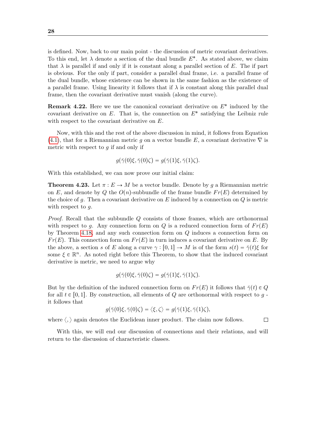is defined. Now, back to our main point - the discussion of metric covariant derivatives. To this end, let  $\lambda$  denote a section of the dual bundle  $E^*$ . As stated above, we claim that  $\lambda$  is parallel if and only if it is constant along a parallel section of E. The if part is obvious. For the only if part, consider a parallel dual frame, i.e. a parallel frame of the dual bundle, whose existence can be shown in the same fashion as the existence of a parallel frame. Using linearity it follows that if  $\lambda$  is constant along this parallel dual frame, then the covariant derivative must vanish (along the curve).

**Remark 4.22.** Here we use the canonical covariant derivative on  $E^*$  induced by the covariant derivative on  $E$ . That is, the connection on  $E^*$  satisfying the Leibniz rule with respect to the covariant derivative on E.

Now, with this and the rest of the above discussion in mind, it follows from Equation [\(4.1\)](#page-26-0), that for a Riemannian metric q on a vector bundle E, a covariant derivative  $\nabla$  is metric with respect to  $q$  if and only if

$$
g(\bar{\gamma}(0)\xi, \bar{\gamma}(0)\zeta) = g(\bar{\gamma}(1)\xi, \bar{\gamma}(1)\zeta).
$$

With this established, we can now prove our initial claim:

**Theorem 4.23.** Let  $\pi : E \to M$  be a vector bundle. Denote by g a Riemannian metric on E, and denote by Q the  $O(n)$ -subbundle of the frame bundle  $Fr(E)$  determined by the choice of g. Then a covariant derivative on  $E$  induced by a connection on  $Q$  is metric with respect to  $q$ .

Proof. Recall that the subbundle Q consists of those frames, which are orthonormal with respect to g. Any connection form on Q is a reduced connection form of  $Fr(E)$ by Theorem [4.18,](#page-25-0) and any such connection form on Q induces a connection form on  $Fr(E)$ . This connection form on  $Fr(E)$  in turn induces a covariant derivative on E. By the above, a section s of E along a curve  $\gamma : [0, 1] \to M$  is of the form  $s(t) = \overline{\gamma}(t)\xi$  for some  $\xi \in \mathbb{R}^n$ . As noted right before this Theorem, to show that the induced covariant derivative is metric, we need to argue why

$$
g(\bar{\gamma}(0)\xi, \bar{\gamma}(0)\zeta) = g(\bar{\gamma}(1)\xi, \bar{\gamma}(1)\zeta).
$$

But by the definition of the induced connection form on  $Fr(E)$  it follows that  $\bar{\gamma}(t) \in Q$ for all  $t \in [0, 1]$ . By construction, all elements of Q are orthonormal with respect to  $q$ . it follows that

$$
g(\bar{\gamma}(0)\xi, \bar{\gamma}(0)\zeta) = \langle \xi, \zeta \rangle = g(\bar{\gamma}(1)\xi, \bar{\gamma}(1)\zeta),
$$

where  $\langle \cdot \rangle$  again denotes the Euclidean inner product. The claim now follows.

With this, we will end our discussion of connections and their relations, and will return to the discussion of characteristic classes.

 $\Box$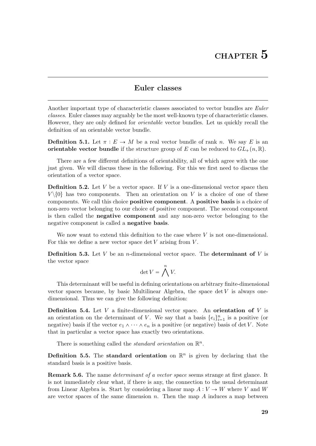#### Euler classes

<span id="page-29-0"></span>Another important type of characteristic classes associated to vector bundles are *Euler* classes. Euler classes may arguably be the most well-known type of characteristic classes. However, they are only defined for orientable vector bundles. Let us quickly recall the definition of an orientable vector bundle.

**Definition 5.1.** Let  $\pi : E \to M$  be a real vector bundle of rank n. We say E is an orientable vector bundle if the structure group of E can be reduced to  $GL_{+}(n, \mathbb{R})$ .

There are a few different definitions of orientability, all of which agree with the one just given. We will discuss these in the following. For this we first need to discuss the orientation of a vector space.

**Definition 5.2.** Let  $V$  be a vector space. If  $V$  is a one-dimensional vector space then  $V\setminus\{0\}$  has two components. Then an orientation on V is a choice of one of these components. We call this choice positive component. A positive basis is a choice of non-zero vector belonging to our choice of positive component. The second component is then called the negative component and any non-zero vector belonging to the negative component is called a negative basis.

We now want to extend this definition to the case where  $V$  is not one-dimensional. For this we define a new vector space det  $V$  arising from  $V$ .

**Definition 5.3.** Let V be an *n*-dimensional vector space. The determinant of V is the vector space

$$
\det V = \bigwedge^n V.
$$

This determinant will be useful in defining orientations on arbitrary finite-dimensional vector spaces because, by basic Multilinear Algebra, the space  $\det V$  is always onedimensional. Thus we can give the following definition:

**Definition 5.4.** Let V a finite-dimensional vector space. An **orientation of** V is an orientation on the determinant of V. We say that a basis  $\{e_i\}_{i=1}^n$  is a positive (or negative) basis if the vector  $e_1 \wedge \cdots \wedge e_n$  is a positive (or negative) basis of det V. Note that in particular a vector space has exactly two orientations.

There is something called the *standard orientation* on  $\mathbb{R}^n$ .

**Definition 5.5.** The standard orientation on  $\mathbb{R}^n$  is given by declaring that the standard basis is a positive basis.

Remark 5.6. The name determinant of a vector space seems strange at first glance. It is not immediately clear what, if there is any, the connection to the usual determinant from Linear Algebra is. Start by considering a linear map  $A: V \to W$  where V and W are vector spaces of the same dimension n. Then the map A induces a map between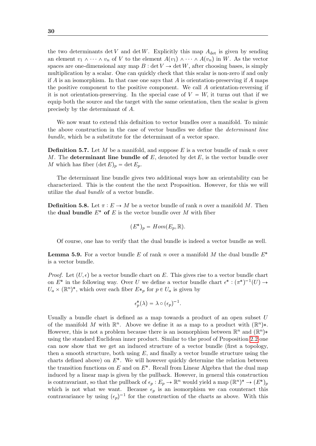the two determinants det V and det W. Explicitly this map  $A_{\text{det}}$  is given by sending an element  $v_1 \wedge \cdots \wedge v_n$  of V to the element  $A(v_1) \wedge \cdots \wedge A(v_n)$  in W. As the vector spaces are one-dimensional any map  $B : \det V \to \det W$ , after choosing bases, is simply multiplication by a scalar. One can quickly check that this scalar is non-zero if and only if A is an isomorphism. In that case one says that A is orientation-preserving if A maps the positive component to the positive component. We call A orientation-reversing if it is not orientation-preserving. In the special case of  $V = W$ , it turns out that if we equip both the source and the target with the same orientation, then the scalar is given precisely by the determinant of A.

We now want to extend this definition to vector bundles over a manifold. To mimic the above construction in the case of vector bundles we define the determinant line bundle, which be a substitute for the determinant of a vector space.

**Definition 5.7.** Let M be a manifold, and suppose E is a vector bundle of rank n over M. The determinant line bundle of  $E$ , denoted by det  $E$ , is the vector bundle over M which has fiber  $(\det E)_p = \det E_p$ .

The determinant line bundle gives two additional ways how an orientability can be characterized. This is the content the the next Proposition. However, for this we will utilize the dual bundle of a vector bundle.

**Definition 5.8.** Let  $\pi : E \to M$  be a vector bundle of rank n over a manifold M. Then the **dual bundle**  $E^*$  of E is the vector bundle over M with fiber

$$
(E^*)_p = Hom(E_p, \mathbb{R}).
$$

Of course, one has to verify that the dual bundle is indeed a vector bundle as well.

<span id="page-30-0"></span>**Lemma 5.9.** For a vector bundle E of rank n over a manifold M the dual bundle  $E^*$ is a vector bundle.

*Proof.* Let  $(U, \epsilon)$  be a vector bundle chart on E. This gives rise to a vector bundle chart on  $E^*$  in the following way. Over U we define a vector bundle chart  $\epsilon^* : (\pi^*)^{-1}(U) \to$  $U_a \times (\mathbb{R}^n)^*$ , which over each fiber  $E *_{p}$  for  $p \in U_a$  is given by

$$
\epsilon_p^*(\lambda) = \lambda \circ (\epsilon_p)^{-1}.
$$

Usually a bundle chart is defined as a map towards a product of an open subset  $U$ of the manifold M with  $\mathbb{R}^n$ . Above we define it as a map to a product with  $(\mathbb{R}^n)$ \*. However, this is not a problem because there is an isomorphism between  $\mathbb{R}^n$  and  $(\mathbb{R}^n)$ \* using the standard Euclidean inner product. Similar to the proof of Proposition [2.2](#page-8-2) one can now show that we get an induced structure of a vector bundle (first a topology, then a smooth structure, both using  $E$ , and finally a vector bundle structure using the charts defined above) on  $E^*$ . We will however quickly determine the relation between the transition functions on  $E$  and on  $E^*$ . Recall from Linear Algebra that the dual map induced by a linear map is given by the pullback. However, in general this construction is contravariant, so that the pullback of  $\epsilon_p : E_p \to \mathbb{R}^n$  would yield a map  $(\mathbb{R}^n)^* \to (E^*)_p$ which is not what we want. Because  $\epsilon_p$  is an isomorphism we can counteract this contravariance by using  $(\epsilon_p)^{-1}$  for the construction of the charts as above. With this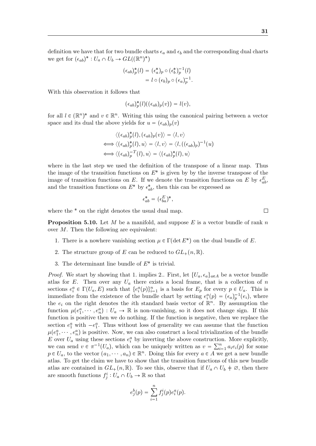definition we have that for two bundle charts  $\epsilon_a$  and  $\epsilon_b$  and the corresponding dual charts we get for  $(\epsilon_{ab})^* : U_a \cap U_b \to GL((\mathbb{R}^n)^*)$ 

$$
\begin{aligned} (\epsilon_{ab})_p^*(l) &= (\epsilon_a^*)_p \circ (\epsilon_b^*)_p^{-1}(l) \\ &= l \circ (\epsilon_b)_p \circ (\epsilon_a)_p^{-1} . \end{aligned}
$$

With this observation it follows that

$$
(\epsilon_{ab})_p^*(l)((\epsilon_{ab})_p(v)) = l(v),
$$

for all  $l \in (\mathbb{R}^n)^*$  and  $v \in \mathbb{R}^n$ . Writing this using the canonical pairing between a vector space and its dual the above yields for  $u = (\epsilon_{ab})_p(v)$ 

$$
\langle (\epsilon_{ab})_p^*(l), (\epsilon_{ab})_p(v) \rangle = \langle l, v \rangle
$$
  

$$
\iff \langle (\epsilon_{ab})_p^*(l), u \rangle = \langle l, v \rangle = \langle l, ((\epsilon_{ab})_p)^{-1}(u)
$$
  

$$
\iff \langle (\epsilon_{ab})_p^{-T}(l), u \rangle = \langle (\epsilon_{ab})_p^*(l), u \rangle
$$

where in the last step we used the definition of the transpose of a linear map. Thus the image of the transition functions on  $E^*$  is given by by the inverse transpose of the image of transition functions on E. If we denote the transition functions on E by  $\epsilon_{ab}^E$ , and the transition functions on  $E^*$  by  $\epsilon_{ab}^*$ , then this can be expressed as

$$
\epsilon_{ab}^* = (\epsilon_{ba}^E)^*,
$$

where the  $*$  on the right denotes the usual dual map.

**Proposition 5.10.** Let M be a manifold, and suppose E is a vector bundle of rank n over M. Then the following are equivalent:

- 1. There is a nowhere vanishing section  $\mu \in \Gamma(\det E^*)$  on the dual bundle of E.
- 2. The structure group of E can be reduced to  $GL_{+}(n,\mathbb{R})$ .
- 3. The determinant line bundle of  $E^*$  is trivial.

*Proof.* We start by showing that 1. implies 2.. First, let  $\{U_a, \epsilon_a\}_{a \in A}$  be a vector bundle atlas for E. Then over any  $U_a$  there exists a local frame, that is a collection of n sections  $e_i^a \in \Gamma(U_a, E)$  such that  $\{e_i^a(p)\}_{i=1}^n$  is a basis for  $E_p$  for every  $p \in U_a$ . This is immediate from the existence of the bundle chart by setting  $e_i^a(p) = (\epsilon_a)_p^{-1}(e_i)$ , where the  $e_i$  on the right denotes the *i*th standard basis vector of  $\mathbb{R}^n$ . By assumption the function  $\mu(e_1^a, \dots, e_n^a) : U_a \to \mathbb{R}$  is non-vanishing, so it does not change sign. If this function is positive then we do nothing. If the function is negative, then we replace the section  $e_1^a$  with  $-e_1^a$ . Thus without loss of generality we can assume that the function  $\mu(e_1^a, \dots, e_n^a)$  is positive. Now, we can also construct a local trivialization of the bundle E over  $U_a$  using these sections  $e_i^a$  by inverting the above construction. More explicitly, we can send  $v \in \pi^{-1}(U_a)$ , which can be uniquely written as  $v = \sum_{i=1}^n a_i e_i(p)$  for some  $p \in U_a$ , to the vector  $(a_1, \dots, a_n) \in \mathbb{R}^n$ . Doing this for every  $a \in A$  we get a new bundle atlas. To get the claim we have to show that the transition functions of this new bundle atlas are contained in  $GL_+(n,\mathbb{R})$ . To see this, observe that if  $U_a \cap U_b \neq \emptyset$ , then there are smooth functions  $f_j^i: U_a \cap U_b \to \mathbb{R}$  so that

$$
e_j^b(p) = \sum_{i=1}^n f_j^i(p)e_i^a(p).
$$

 $\Box$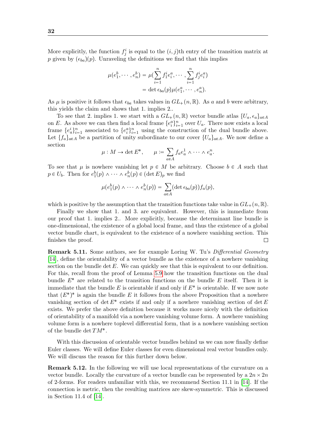More explicitly, the function  $f_j^i$  is equal to the  $(i, j)$ <sup>th</sup> entry of the transition matrix at p given by  $(\epsilon_{ba})(p)$ . Unraveling the definitions we find that this implies

$$
\mu(e_1^b, \dots, e_n^b) = \mu(\sum_{i=1}^n f_1^i e_i^a, \dots, \sum_{i=1}^n f_j^i e_i^a) \n= \det \epsilon_{ba}(p)\mu(e_1^a, \dots, e_n^a).
$$

As  $\mu$  is positive it follows that  $\epsilon_{ba}$  takes values in  $GL_{+}(n,\mathbb{R})$ . As a and b were arbitrary, this yields the claim and shows that 1. implies 2..

To see that 2. implies 1. we start with a  $GL_{+}(n,\mathbb{R})$  vector bundle atlas  $\{U_a, \epsilon_a\}_{a\in A}$ on E. As above we can then find a local frame  $\{e_i^a\}_{i=1}^n$  over  $U_a$ . There now exists a local frame  $\{e_a^i\}_{i=1}^n$  associated to  $\{e_i^a\}_{i=1}^n$  using the construction of the dual bundle above. Let  $\{f_a\}_{a\in A}$  be a partition of unity subordinate to our cover  $\{U_a\}_{a\in A}$ . We now define a section

$$
\mu: M \to \det E^*, \qquad \mu := \sum_{a \in A} f_a e_a^1 \wedge \cdots \wedge e_a^n.
$$

To see that  $\mu$  is nowhere vanishing let  $p \in M$  be arbitrary. Choose  $b \in A$  such that  $p \in U_b$ . Then for  $e_1^b(p) \wedge \cdots \wedge e_n^b(p) \in (\det E)_p$  we find

$$
\mu(e_1^b(p) \wedge \cdots \wedge e_n^b(p)) = \sum_{a \in A} (\det \epsilon_{ba}(p)) f_a(p),
$$

which is positive by the assumption that the transition functions take value in  $GL_{+}(n, \mathbb{R})$ .

Finally we show that 1. and 3. are equivalent. However, this is immediate from our proof that 1. implies 2.. More explicitly, because the determinant line bundle is one-dimensional, the existence of a global local frame, and thus the existence of a global vector bundle chart, is equivalent to the existence of a nowhere vanishing section. This finishes the proof.  $\Box$ 

Remark 5.11. Some authors, see for example Loring W. Tu's Differential Geometry [\[14\]](#page-45-4), define the orientability of a vector bundle as the existence of a nowhere vanishing section on the bundle det  $E$ . We can quickly see that this is equivalent to our definition. For this, recall from the proof of Lemma [5.9](#page-30-0) how the transition functions on the dual bundle  $E^*$  are related to the transition functions on the bundle E itself. Then it is immediate that the bundle  $E$  is orientable if and only if  $E^*$  is orientable. If we now note that  $(E^*)^*$  is again the bundle E it follows from the above Proposition that a nowhere vanishing section of det  $E^*$  exists if and only if a nowhere vanishing section of det  $E$ exists. We prefer the above definition because it works more nicely with the definition of orientability of a manifold via a nowhere vanishing volume form. A nowhere vanishing volume form is a nowhere toplevel differential form, that is a nowhere vanishing section of the bundle det  $TM^*$ .

With this discussion of orientable vector bundles behind us we can now finally define Euler classes. We will define Euler classes for even dimensional real vector bundles only. We will discuss the reason for this further down below.

<span id="page-32-0"></span>Remark 5.12. In the following we will use local representations of the curvature on a vector bundle. Locally the curvature of a vector bundle can be represented by a  $2n \times 2n$ of 2-forms. For readers unfamiliar with this, we recommend Section 11.1 in [\[14\]](#page-45-4). If the connection is metric, then the resulting matrices are skew-symmetric. This is discussed in Section 11.4 of [\[14\]](#page-45-4).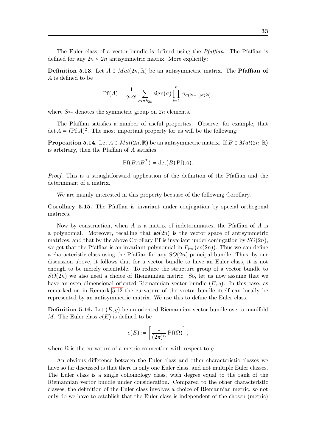The Euler class of a vector bundle is defined using the Pfaffian. The Pfaffian is defined for any  $2n \times 2n$  antisymmetric matrix. More explicitly:

**Definition 5.13.** Let  $A \in Mat(2n, \mathbb{R})$  be an antisymmetric matrix. The **Pfaffian of** A is defined to be

$$
Pf(A) = \frac{1}{2^n 2!} \sum_{\sigma in S_{2n}} sign(\sigma) \prod_{i=1}^n A_{\sigma(2i-1)\sigma(2i)},
$$

where  $S_{2n}$  denotes the symmetric group on  $2n$  elements.

The Pfaffian satisfies a number of useful properties. Observe, for example, that  $\det A = (\text{Pf }A)^2$ . The most important property for us will be the following:

**Proposition 5.14.** Let  $A \in Mat(2n, \mathbb{R})$  be an antisymmetric matrix. If  $B \in Mat(2n, \mathbb{R})$ is arbitrary, then the Pfaffian of A satisfies

$$
Pf(BAB^T) = \det(B) Pf(A).
$$

Proof. This is a straightforward application of the definition of the Pfaffian and the determinant of a matrix.  $\Box$ 

We are mainly interested in this property because of the following Corollary.

Corollary 5.15. The Pfaffian is invariant under conjugation by special orthogonal matrices.

Now by construction, when  $A$  is a matrix of indeterminates, the Pfaffian of  $A$  is a polynomial. Moreover, recalling that  $\mathfrak{so}(2n)$  is the vector space of antisymmetric matrices, and that by the above Corollary Pf is invariant under conjugation by  $SO(2n)$ , we get that the Pfaffian is an invariant polynomial in  $P_{inv}(so(2n))$ . Thus we can define a characteristic class using the Pfaffian for any  $SO(2n)$ -principal bundle. Thus, by our discussion above, it follows that for a vector bundle to have an Euler class, it is not enough to be merely orientable. To reduce the structure group of a vector bundle to  $SO(2n)$  we also need a choice of Riemannian metric. So, let us now assume that we have an even dimensional oriented Riemannian vector bundle  $(E, g)$ . In this case, as remarked on in Remark [5.12](#page-32-0) the curvature of the vector bundle itself can locally be represented by an antisymmetric matrix. We use this to define the Euler class.

**Definition 5.16.** Let  $(E, g)$  be an oriented Riemannian vector bundle over a manifold M. The Euler class  $e(E)$  is defined to be

$$
e(E) \coloneqq \left[\frac{1}{(2\pi)^n} \operatorname{Pf}(\Omega) \right],
$$

where  $\Omega$  is the curvature of a metric connection with respect to g.

An obvious difference between the Euler class and other characteristic classes we have so far discussed is that there is only one Euler class, and not multiple Euler classes. The Euler class is a single cohomology class, with degree equal to the rank of the Riemannian vector bundle under consideration. Compared to the other characteristic classes, the definition of the Euler class involves a choice of Riemannian metric, so not only do we have to establish that the Euler class is independent of the chosen (metric)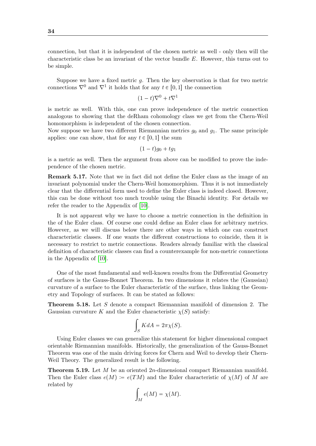connection, but that it is independent of the chosen metric as well - only then will the characteristic class be an invariant of the vector bundle E. However, this turns out to be simple.

Suppose we have a fixed metric  $g$ . Then the key observation is that for two metric connections  $\nabla^0$  and  $\nabla^1$  it holds that for any  $t \in [0, 1]$  the connection

$$
(1-t)\nabla^0 + t\nabla^1
$$

is metric as well. With this, one can prove independence of the metric connection analogous to showing that the deRham cohomology class we get from the Chern-Weil homomorphism is independent of the chosen connection.

Now suppose we have two different Riemannian metrics  $g_0$  and  $g_1$ . The same principle applies: one can show, that for any  $t \in [0, 1]$  the sum

$$
(1-t)g_0+tg_1
$$

is a metric as well. Then the argument from above can be modified to prove the independence of the chosen metric.

Remark 5.17. Note that we in fact did not define the Euler class as the image of an invariant polynomial under the Chern-Weil homomorphism. Thus it is not immediately clear that the differential form used to define the Euler class is indeed closed. However, this can be done without too much trouble using the Binachi identity. For details we refer the reader to the Appendix of [\[10\]](#page-45-2).

It is not apparent why we have to choose a metric connection in the definition in the of the Euler class. Of course one could define an Euler class for arbitrary metrics. However, as we will discuss below there are other ways in which one can construct characteristic classes. If one wants the different constructions to coincide, then it is necessary to restrict to metric connections. Readers already familiar with the classical definition of characteristic classes can find a counterexample for non-metric connections in the Appendix of [\[10\]](#page-45-2).

One of the most fundamental and well-known results from the Differential Geometry of surfaces is the Gauss-Bonnet Theorem. In two dimensions it relates the (Gaussian) curvature of a surface to the Euler characteristic of the surface, thus linking the Geometry and Topology of surfaces. It can be stated as follows:

Theorem 5.18. Let S denote a compact Riemannian manifold of dimension 2. The Gaussian curvature K and the Euler characteristic  $\chi(S)$  satisfy:

$$
\int_S K dA = 2\pi \chi(S).
$$

Using Euler classes we can generalize this statement for higher dimensional compact orientable Riemannian manifolds. Historically, the generalization of the Gauss-Bonnet Theorem was one of the main driving forces for Chern and Weil to develop their Chern-Weil Theory. The generalized result is the following.

Theorem 5.19. Let M be an oriented 2n-dimensional compact Riemannian manifold. Then the Euler class  $e(M) := e(TM)$  and the Euler characteristic of  $\chi(M)$  of M are related by

$$
\int_M e(M) = \chi(M).
$$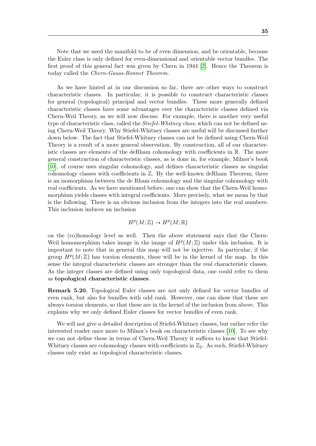Note that we need the manifold to be of even dimension, and be orientable, because the Euler class is only defined for even-dimensional and orientable vector bundles. The first proof of this general fact was given by Chern in 1944 [\[2\]](#page-45-9). Hence the Theorem is today called the Chern-Gauss-Bonnet Theorem.

As we have hinted at in our discussion so far, there are other ways to construct characteristic classes. In particular, it is possible to construct characteristic classes for general (topological) principal and vector bundles. These more generally defined characteristic classes have some advantages over the characteristic classes defined via Chern-Weil Theory, as we will now discuss. For example, there is another very useful type of characteristic class, called the *Stiefel-Whitney class*, which can not be defined using Chern-Weil Theory. Why Stiefel-Whitney classes are useful will be discussed further down below. The fact that Stiefel-Whitney classes can not be defined using Chern-Weil Theory is a result of a more general observation. By construction, all of our characteristic classes are elements of the deRham cohomology with coefficients in R. The more general construction of characteristic classes, as is done in, for example, Milnor's book [\[10\]](#page-45-2), of course uses singular cohomology, and defines characteristic classes as singular cohomology classes with coefficients in  $\mathbb{Z}$ . By the well-known deRham Theorem, there is an isomorphism between the de Rham cohomology and the singular cohomology with real coefficients. As we have mentioned before, one can show that the Chern-Weil homomorphism yields classes with integral coefficients. More precisely, what we mean by that is the following. There is an obvious inclusion from the integers into the real numbers. This inclusion induces an inclusion

$$
H^p(M; \mathbb{Z}) \to H^p(M; \mathbb{R})
$$

on the (co)homology level as well. Then the above statement says that the Chern-Weil homomorphism takes image in the image of  $H^p(M; \mathbb{Z})$  under this inclusion. It is important to note that in general this map will not be injective. In particular, if the group  $H^p(M; \mathbb{Z})$  has torsion elements, these will be in the kernel of the map. In this sense the integral characteristic classes are stronger than the real characteristic classes. As the integer classes are defined using only topological data, one could refer to them as topological characteristic classes.

Remark 5.20. Topological Euler classes are not only defined for vector bundles of even rank, but also for bundles with odd rank. However, one can show that these are always torsion elements, so that these are in the kernel of the inclusion from above. This explains why we only defined Euler classes for vector bundles of even rank.

We will not give a detailed description of Stiefel-Whitney classes, but rather refer the interested reader once more to Milnor's book on characteristic classes [\[10\]](#page-45-2). To see why we can not define these in terms of Chern-Weil Theory it suffices to know that Stiefel-Whitney classes are cohomology classes with coefficients in  $\mathbb{Z}_2$ . As such, Stiefel-Whitney classes only exist as topological characteristic classes.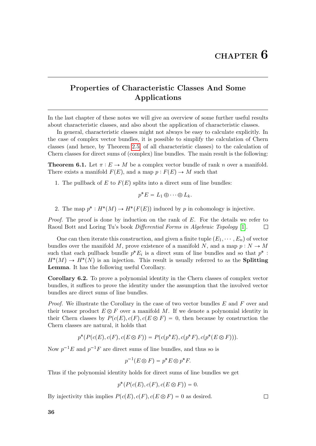$\Box$ 

# <span id="page-36-0"></span>Properties of Characteristic Classes And Some Applications

In the last chapter of these notes we will give an overview of some further useful results about characteristic classes, and also about the application of characteristic classes.

In general, characteristic classes might not always be easy to calculate explicitly. In the case of complex vector bundles, it is possible to simplify the calculation of Chern classes (and hence, by Theorem [2.5,](#page-9-1) of all characteristic classes) to the calculation of Chern classes for direct sums of (complex) line bundles. The main result is the following:

**Theorem 6.1.** Let  $\pi : E \to M$  be a complex vector bundle of rank n over a manifold. There exists a manifold  $F(E)$ , and a map  $p : F(E) \to M$  such that

1. The pullback of E to  $F(E)$  splits into a direct sum of line bundles:

$$
p^*E = L_1 \oplus \cdots \oplus L_k.
$$

2. The map  $p^*: H^*(M) \to H^*(F(E))$  induced by p in cohomology is injective.

*Proof.* The proof is done by induction on the rank of  $E$ . For the details we refer to Raoul Bott and Loring Tu's book Differential Forms in Algebraic Topology [\[1\]](#page-45-10).  $\Box$ 

One can then iterate this construction, and given a finite tuple  $(E_1, \dots, E_n)$  of vector bundles over the manifold M, prove existence of a manifold N, and a map  $p : N \to M$ such that each pullback bundle  $p^*E_i$  is a direct sum of line bundles and so that  $p^*$ :  $H^*(M) \to H^*(N)$  is an injection. This result is usually referred to as the **Splitting** Lemma. It has the following useful Corollary.

Corollary 6.2. To prove a polynomial identity in the Chern classes of complex vector bundles, it suffices to prove the identity under the assumption that the involved vector bundles are direct sums of line bundles.

Proof. We illustrate the Corollary in the case of two vector bundles E and F over and their tensor product  $E \otimes F$  over a manifold M. If we denote a polynomial identity in their Chern classes by  $P(c(E), c(F), c(E \otimes F) = 0$ , then because by construction the Chern classes are natural, it holds that

$$
p^*(P(c(E), c(F), c(E \otimes F)) = P(c(p^*E), c(p^*F), c(p^*(E \otimes F))).
$$

Now  $p^{-1}E$  and  $p^{-1}F$  are direct sums of line bundles, and thus so is

$$
p^{-1}(E \otimes F) = p^*E \otimes p^*F.
$$

Thus if the polynomial identity holds for direct sums of line bundles we get

$$
p^*(P(c(E), c(F), c(E \otimes F)) = 0.
$$

By injectivity this implies  $P(c(E), c(F), c(E \otimes F) = 0$  as desired.

36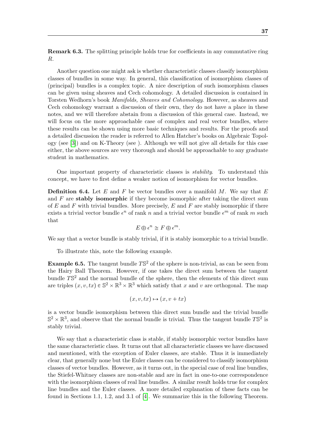Remark 6.3. The splitting principle holds true for coefficients in any commutative ring R.

Another question one might ask is whether characteristic classes classify isomorphism classes of bundles in some way. In general, this classification of isomorphism classes of (principal) bundles is a complex topic. A nice description of such isomorphism classes can be given using sheaves and Cech cohomology. A detailed discussion is contained in Torsten Wedhorn's book Manifolds, Sheaves and Cohomology. However, as sheaves and Cech cohomology warrant a discussion of their own, they do not have a place in these notes, and we will therefore abstain from a discussion of this general case. Instead, we will focus on the more approachable case of complex and real vector bundles, where these results can be shown using more basic techniques and results. For the proofs and a detailed discussion the reader is referred to Allen Hatcher's books on Algebraic Topology (see [\[3\]](#page-45-11)) and on K-Theory (see ). Although we will not give all details for this case either, the above sources are very thorough and should be approachable to any graduate student in mathematics.

One important property of characteristic classes is stability. To understand this concept, we have to first define a weaker notion of isomorphism for vector bundles.

**Definition 6.4.** Let E and F be vector bundles over a manifold M. We say that E and  $F$  are stably isomorphic if they become isomorphic after taking the direct sum of E and F with trivial bundles. More precisely, E and F are stably isomorphic if there exists a trivial vector bundle  $\epsilon^n$  of rank n and a trivial vector bundle  $\epsilon^m$  of rank m such that

$$
E \oplus \epsilon^n \cong F \oplus \epsilon^m.
$$

We say that a vector bundle is stably trivial, if it is stably isomorphic to a trivial bundle.

To illustrate this, note the following example.

**Example 6.5.** The tangent bundle  $T\mathbb{S}^2$  of the sphere is non-trivial, as can be seen from the Hairy Ball Theorem. However, if one takes the direct sum between the tangent bundle  $T\mathbb{S}^2$  and the normal bundle of the sphere, then the elements of this direct sum are triples  $(x, v, tx) \in \mathbb{S}^2 \times \mathbb{R}^3 \times \mathbb{R}^3$  which satisfy that x and v are orthogonal. The map

$$
(x, v, tx) \mapsto (x, v + tx)
$$

is a vector bundle isomorphism between this direct sum bundle and the trivial bundle  $\mathbb{S}^2 \times \mathbb{R}^3$ , and observe that the normal bundle is trivial. Thus the tangent bundle  $T\mathbb{S}^2$  is stably trivial.

We say that a characteristic class is stable, if stably isomorphic vector bundles have the same characteristic class. It turns out that all characteristic classes we have discussed and mentioned, with the exception of Euler classes, are stable. Thus it is immediately clear, that generally none but the Euler classes can be considered to classify isomorphism classes of vector bundles. However, as it turns out, in the special case of real line bundles, the Stiefel-Whitney classes are non-stable and are in fact in one-to-one correspondence with the isomorphism classes of real line bundles. A similar result holds true for complex line bundles and the Euler classes. A more detailed explanation of these facts can be found in Sections 1.1, 1.2, and 3.1 of [\[4\]](#page-45-12). We summarize this in the following Theorem.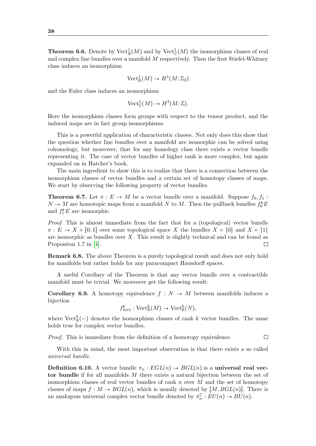<span id="page-38-0"></span>**Theorem 6.6.** Denote by  $Vect^1_{\mathbb{R}}(M)$  and by  $Vect^1_{\mathbb{C}}(M)$  the isomorphism classes of real and complex line bundles over a manifold  $M$  respectively. Then the first Stiefel-Whitney class induces an isomorphism

$$
\mathrm{Vect}^1_{\mathbb{R}}(M)\to H^1(M;\mathbb{Z}_2)
$$

and the Euler class induces an isomorphism

$$
\text{Vect}^1_{\mathbb{C}}(M) \to H^2(M; \mathbb{Z}).
$$

Here the isomorphism classes form groups with respect to the tensor product, and the induced maps are in fact group isomorphisms.

This is a powerful application of characteristic classes. Not only does this show that the question whether line bundles over a manifold are isomorphic can be solved using cohomology, but moreover, that for any homology class there exists a vector bundle representing it. The case of vector bundles of higher rank is more complex, but again expanded on in Hatcher's book.

The main ingredient to show this is to realize that there is a connection between the isomorphism classes of vector bundles and a certain set of homotopy classes of maps. We start by observing the following property of vector bundles.

<span id="page-38-1"></span>**Theorem 6.7.** Let  $\pi : E \to M$  be a vector bundle over a manifold. Suppose  $f_0, f_1$ :  $N \to M$  are homotopic maps from a manifold  $N$  to  $M.$  Then the pullback bundles  $f_0^*E$ and  $f_1^*E$  are isomorphic.

Proof. This is almost immediate from the fact that for a (topological) vector bundle  $\pi: E \to X \times [0,1]$  over some topological space X the bundles  $X \times \{0\}$  and  $X \times \{1\}$ are isomorphic as bundles over  $X$ . This result is slightly technical and can be found as Propositon 1.7 in [\[4\]](#page-45-12).  $\Box$ 

Remark 6.8. The above Theorem is a purely topological result and does not only hold for manifolds but rather holds for any paracompact Hausdorff spaces.

A useful Corollary of the Theorem is that any vector bundle over a contractible manifold must be trivial. We moreover get the following result:

**Corollary 6.9.** A homotopy equivalence  $f : N \to M$  between manifolds induces a bijection

$$
f_{\text{Vect}}^* : \text{Vect}_{\mathbb{R}}^k(M) \to \text{Vect}_{\mathbb{R}}^k(N),
$$

where  $\text{Vect}_{\mathbb{R}}^k(-)$  denotes the isomorphism classes of rank k vector bundles. The same holds true for complex vector bundles.

Proof. This is immediate from the definition of a homotopy equivalence.  $\Box$ 

With this in mind, the most important observation is that there exists a so called universal bundle.

**Definition 6.10.** A vector bundle  $\pi_n : EGL(n) \to BGL(n)$  is a universal real vector bundle if for all manifolds M there exists a natural bijection between the set of isomorphism classes of real vector bundles of rank  $n$  over  $M$  and the set of homotopy classes of maps  $f : M \to BGL(n)$ , which is usually denoted by  $[M, BGL(n)]$ . There is an analogous universal complex vector bundle denoted by  $\pi_n^{\mathbb{C}}$  $_{n}^{\mathbb{C}}:EU(n)\to BU(n).$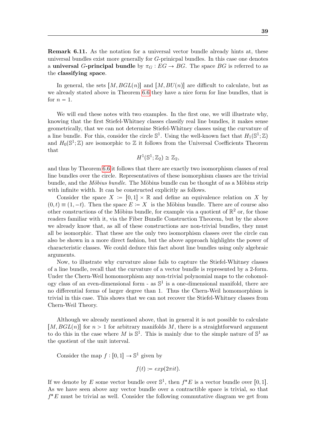Remark 6.11. As the notation for a universal vector bundle already hints at, these universal bundles exist more generally for G-prinicpal bundles. In this case one denotes a universal G-principal bundle by  $\pi_G : EG \to BG$ . The space BG is referred to as the classifying space.

In general, the sets  $[M, BGL(n)]$  and  $[M, BU(n)]$  are difficult to calculate, but as we already stated above in Theorem [6.6](#page-38-0) they have a nice form for line bundles, that is for  $n = 1$ .

We will end these notes with two examples. In the first one, we will illustrate why, knowing that the first Stiefel-Whitney classes classify real line bundles, it makes sense geometrically, that we can not determine Stiefel-Whitney classes using the curvature of a line bundle. For this, consider the circle  $\mathbb{S}^1$ . Using the well-known fact that  $H_1(\mathbb{S}^1;\mathbb{Z})$ and  $H_0(\mathbb{S}^1;\mathbb{Z})$  are isomorphic to  $\mathbb Z$  it follows from the Universal Coefficients Theorem that

$$
H^1(\mathbb{S}^1; \mathbb{Z}_2) \cong \mathbb{Z}_2,
$$

and thus by Theorem [6.6](#page-38-0) it follows that there are exactly two isomorphism classes of real line bundles over the circle. Representatives of these isomorphism classes are the trivial bundle, and the *Möbius bundle*. The Möbius bundle can be thought of as a Möbius strip with infinite width. It can be constructed explicitly as follows.

Consider the space  $X := [0, 1] \times \mathbb{R}$  and define an equivalence relation on X by  $p(0, t) \equiv (1, -t)$ . Then the space  $E := X$  is the Möbius bundle. There are of course also other constructions of the Möbius bundle, for example via a quotient of  $\mathbb{R}^2$  or, for those readers familiar with it, via the Fiber Bundle Construction Theorem, but by the above we already know that, as all of these constructions are non-trivial bundles, they must all be isomorphic. That these are the only two isomorphism classes over the circle can also be shown in a more direct fashion, but the above approach highlights the power of characteristic classes. We could deduce this fact about line bundles using only algebraic arguments.

Now, to illustrate why curvature alone fails to capture the Stiefel-Whitney classes of a line bundle, recall that the curvature of a vector bundle is represented by a 2-form. Under the Chern-Weil homomorphism any non-trivial polynomial maps to the cohomology class of an even-dimensional form - as  $\mathbb{S}^1$  is a one-dimensional manifold, there are no differential forms of larger degree than 1. Thus the Chern-Weil homomorphism is trivial in this case. This shows that we can not recover the Stiefel-Whitney classes from Chern-Weil Theory.

Although we already mentioned above, that in general it is not possible to calculate  $[M, BGL(n)]$  for  $n > 1$  for arbitrary manifolds M, there is a straightforward argument to do this in the case where M is  $\mathbb{S}^1$ . This is mainly due to the simple nature of  $\mathbb{S}^1$  as the quotient of the unit interval.

Consider the map  $f : [0, 1] \to \mathbb{S}^1$  given by

$$
f(t) := exp(2\pi i t).
$$

If we denote by E some vector bundle over  $\mathbb{S}^1$ , then  $f^*E$  is a vector bundle over [0, 1]. As we have seen above any vector bundle over a contractible space is trivial, so that  $f^*E$  must be trivial as well. Consider the following commutative diagram we get from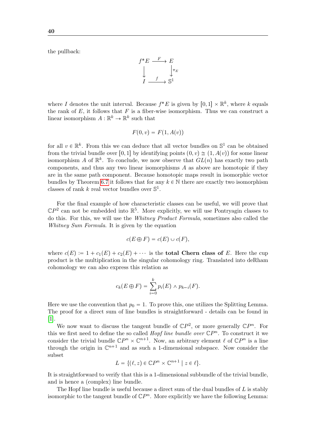the pullback:

$$
f^* E \xrightarrow{F} E
$$
  
\n
$$
\downarrow \qquad \qquad \downarrow \pi_E
$$
  
\n
$$
I \xrightarrow{f} \mathbb{S}^1
$$

where I denotes the unit interval. Because  $f^*E$  is given by  $[0, 1] \times \mathbb{R}^k$ , where k equals the rank of  $E$ , it follows that  $F$  is a fiber-wise isomorphism. Thus we can construct a linear isomorphism  $A: \mathbb{R}^k \to \mathbb{R}^k$  such that

$$
F(0, v) = F(1, A(v))
$$

for all  $v \in \mathbb{R}^k$ . From this we can deduce that all vector bundles on  $\mathbb{S}^1$  can be obtained from the trivial bundle over [0, 1] by identifying points  $(0, v) \approx (1, A(v))$  for some linear isomorphism A of  $\mathbb{R}^k$ . To conclude, we now observe that  $GL(n)$  has exactly two path components, and thus any two linear isomorphisms  $A$  as above are homotopic if they are in the same path component. Because homotopic maps result in isomorphic vector bundles by Theorem [6.7](#page-38-1) it follows that for any  $k \in \mathbb{N}$  there are exactly two isomorphism classes of rank  $k$  real vector bundles over  $\mathbb{S}^1$ .

For the final example of how characteristic classes can be useful, we will prove that  $\mathbb{C}P^2$  can not be embedded into  $\mathbb{R}^5$ . More explicitly, we will use Pontryagin classes to do this. For this, we will use the Whitney Product Formula, sometimes also called the Whitney Sum Formula. It is given by the equation

$$
c(E \oplus F) = c(E) \cup c(F),
$$

where  $c(E) := 1 + c_1(E) + c_2(E) + \cdots$  is the **total Chern class of** E. Here the cup product is the multiplication in the singular cohomology ring. Translated into deRham cohomology we can also express this relation as

$$
c_k(E \oplus F) = \sum_{i=0}^k p_i(E) \wedge p_{k-i}(F).
$$

Here we use the convention that  $p_0 = 1$ . To prove this, one utilizes the Splitting Lemma. The proof for a direct sum of line bundles is straightforward - details can be found in [\[1\]](#page-45-10).

We now want to discuss the tangent bundle of  $\mathbb{C}P^2$ , or more generally  $\mathbb{C}P^n$ . For this we first need to define the so called *Hopf line bundle over*  $\mathbb{C}P^n$ . To construct it we consider the trivial bundle  $\mathbb{C}P^n \times \mathbb{C}^{n+1}$ . Now, an arbitrary element  $\ell$  of  $\mathbb{C}P^n$  is a line through the origin in  $\mathbb{C}^{n+1}$  and as such a 1-dimensional subspace. Now consider the subset

$$
L = \{ (\ell, z) \in \mathbb{C}P^n \times \mathbb{C}^{n+1} \mid z \in \ell \}.
$$

It is straightforward to verify that this is a 1-dimensional subbundle of the trivial bundle, and is hence a (complex) line bundle.

The Hopf line bundle is useful because a direct sum of the dual bundles of L is stably isomorphic to the tangent bundle of  $\mathbb{C}P^n$ . More explicitly we have the following Lemma: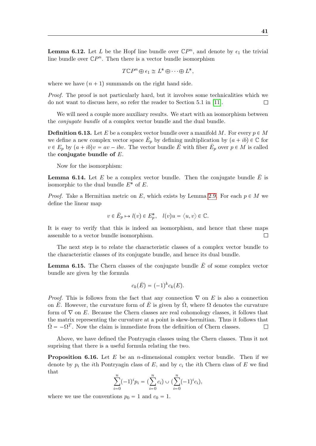<span id="page-41-1"></span>**Lemma 6.12.** Let L be the Hopf line bundle over  $\mathbb{C}P^n$ , and denote by  $\epsilon_1$  the trivial line bundle over  $\mathbb{C}P^n$ . Then there is a vector bundle isomorphism

$$
T\mathbb{C}P^n \oplus \epsilon_1 \cong L^* \oplus \cdots \oplus L^*,
$$

where we have  $(n + 1)$  summands on the right hand side.

Proof. The proof is not particularly hard, but it involves some technicalities which we do not want to discuss here, so refer the reader to Section 5.1 in [\[11\]](#page-45-13).

We will need a couple more auxiliary results. We start with an isomorphism between the conjugate bundle of a complex vector bundle and the dual bundle.

**Definition 6.13.** Let E be a complex vector bundle over a manifold M. For every  $p \in M$ we define a new complex vector space  $\bar{E}_p$  by defining multiplication by  $(a + ib) \in \mathbb{C}$  for  $v \in E_p$  by  $(a+ib)v = av - ibv$ . The vector bundle  $\overline{E}$  with fiber  $\overline{E}_p$  over  $p \in M$  is called the conjugate bundle of  $E$ .

Now for the isomorphism:

**Lemma 6.14.** Let E be a complex vector bundle. Then the conjugate bundle  $\overline{E}$  is isomorphic to the dual bundle  $E^*$  of  $E$ .

*Proof.* Take a Hermitian metric on E, which exists by Lemma [2.9.](#page-10-0) For each  $p \in M$  we define the linear map

$$
v\in \bar E_p\mapsto l(v)\in E_p^*,\quad l(v)u=\langle u,v\rangle\in\mathbb{C}.
$$

It is easy to verify that this is indeed an isomorphism, and hence that these maps assemble to a vector bundle isomorphism.  $\Box$ 

The next step is to relate the characteristic classes of a complex vector bundle to the characteristic classes of its conjugate bundle, and hence its dual bundle.

<span id="page-41-0"></span>**Lemma 6.15.** The Chern classes of the conjugate bundle  $\overline{E}$  of some complex vector bundle are given by the formula

$$
c_k(\bar{E}) = (-1)^k c_k(E).
$$

*Proof.* This is follows from the fact that any connection  $\nabla$  on E is also a connection on  $\overline{E}$ . However, the curvature form of  $\overline{E}$  is given by  $\overline{\Omega}$ , where  $\Omega$  denotes the curvature form of  $\nabla$  on E. Because the Chern classes are real cohomology classes, it follows that the matrix representing the curvature at a point is skew-hermitian. Thus it follows that  $\bar{\Omega} = -\Omega^T$ . Now the claim is immediate from the definition of Chern classes.  $\Box$ 

Above, we have defined the Pontryagin classes using the Chern classes. Thus it not suprising that there is a useful formula relating the two.

<span id="page-41-2"></span>**Proposition 6.16.** Let E be an *n*-dimensional complex vector bundle. Then if we denote by  $p_i$  the *i*th Pontryagin class of E, and by  $c_i$  the *i*th Chern class of E we find that

$$
\sum_{i=0}^{n} (-1)^{i} p_{i} = \left(\sum_{i=0}^{n} c_{i}\right) \cup \left(\sum_{i=0}^{n} (-1)^{i} c_{i}\right),
$$

where we use the conventions  $p_0 = 1$  and  $c_0 = 1$ .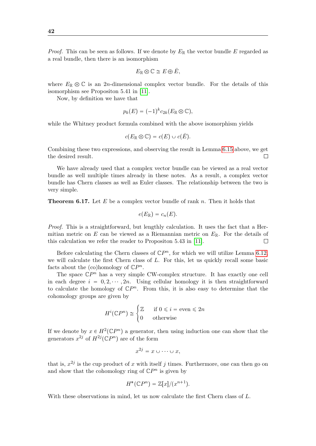*Proof.* This can be seen as follows. If we denote by  $E_{\mathbb{R}}$  the vector bundle E regarded as a real bundle, then there is an isomorphism

$$
E_{\mathbb{R}} \otimes \mathbb{C} \cong E \oplus \overline{E},
$$

where  $E_{\mathbb{R}} \otimes \mathbb{C}$  is an 2n-dimensional complex vector bundle. For the details of this isomorphism see Propositon 5.41 in [\[11\]](#page-45-13).

Now, by definition we have that

$$
p_k(E) = (-1)^k c_{2k}(E_{\mathbb{R}} \otimes \mathbb{C}),
$$

while the Whitney product formula combined with the above isomorphism yields

$$
c(E_{\mathbb{R}} \otimes \mathbb{C}) = c(E) \cup c(\overline{E}).
$$

Combining these two expressions, and observing the result in Lemma [6.15](#page-41-0) above, we get the desired result.  $\Box$ 

We have already used that a complex vector bundle can be viewed as a real vector bundle as well multiple times already in these notes. As a result, a complex vector bundle has Chern classes as well as Euler classes. The relationship between the two is very simple.

**Theorem 6.17.** Let  $E$  be a complex vector bundle of rank n. Then it holds that

$$
e(E_{\mathbb{R}})=c_n(E).
$$

Proof. This is a straightforward, but lengthly calculation. It uses the fact that a Hermitian metric on E can be viewed as a Riemannian metric on  $E_{\mathbb{R}}$ . For the details of this calculation we refer the reader to Propositon 5.43 in [\[11\]](#page-45-13).  $\Box$ 

Before calculating the Chern classes of  $\mathbb{C}P^n$ , for which we will utilize Lemma [6.12,](#page-41-1) we will calculate the first Chern class of L. For this, let us quickly recall some basic facts about the (co)homology of  $\mathbb{C}P^n$ .

The space  $\mathbb{C}P^n$  has a very simple CW-complex structure. It has exactly one cell in each degree  $i = 0, 2, \dots, 2n$ . Using cellular homology it is then straightforward to calculate the homology of  $\mathbb{C}P^n$ . From this, it is also easy to determine that the cohomology groups are given by

$$
H^i(\mathbb{C}P^n) \cong \begin{cases} \mathbb{Z} & \text{if } 0 \leq i = \text{even} \leq 2n \\ 0 & \text{otherwise} \end{cases}
$$

If we denote by  $x \in H^2(\mathbb{C}P^n)$  a generator, then using induction one can show that the generators  $x^{2j}$  of  $H^{2j}(\mathbb{C}P^n)$  are of the form

$$
x^{2j} = x \cup \cdots \cup x,
$$

that is,  $x^{2j}$  is the cup product of x with itself j times. Furthermore, one can then go on and show that the cohomology ring of  $\mathbb{C}P^n$  is given by

$$
H^*(\mathbb{C}P^n) = \mathbb{Z}[x]/(x^{n+1}).
$$

With these observations in mind, let us now calculate the first Chern class of L.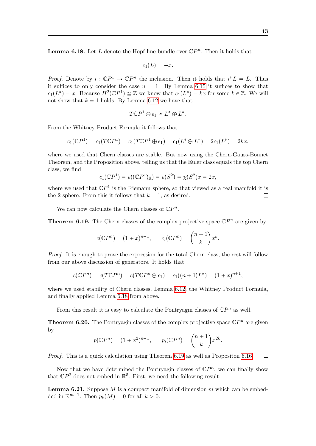<span id="page-43-0"></span>**Lemma 6.18.** Let L denote the Hopf line bundle over  $\mathbb{C}P^n$ . Then it holds that

$$
c_1(L) = -x.
$$

*Proof.* Denote by  $\iota : \mathbb{C}P^1 \to \mathbb{C}P^n$  the inclusion. Then it holds that  $\iota^*L = L$ . Thus it suffices to only consider the case  $n = 1$ . By Lemma [6.15](#page-41-0) it suffices to show that  $c_1(L^*) = x$ . Because  $H^2(\mathbb{C}P^1) \cong \mathbb{Z}$  we know that  $c_1(L^*) = kx$  for some  $k \in \mathbb{Z}$ . We will not show that  $k = 1$  holds. By Lemma [6.12](#page-41-1) we have that

$$
T\mathbb{C}P^1 \oplus \epsilon_1 \cong L^* \oplus L^*.
$$

From the Whitney Product Formula it follows that

$$
c_1(\mathbb{C}P^1) = c_1(T\mathbb{C}P^1) = c_1(T\mathbb{C}P^1 \oplus \epsilon_1) = c_1(L^* \oplus L^*) = 2c_1(L^*) = 2kx,
$$

where we used that Chern classes are stable. But now using the Chern-Gauss-Bonnet Theorem, and the Proposition above, telling us that the Euler class equals the top Chern class, we find

$$
c_1(\mathbb{C}P^1) = e((\mathbb{C}P^1)_\mathbb{R}) = e(S^2) = \chi(S^2)x = 2x,
$$

where we used that  $\mathbb{C}P^1$  is the Riemann sphere, so that viewed as a real manifold it is the 2-sphere. From this it follows that  $k = 1$ , as desired.  $\Box$ 

We can now calculate the Chern classes of  $\mathbb{C}P^n$ .

<span id="page-43-1"></span>**Theorem 6.19.** The Chern classes of the complex projective space  $\mathbb{C}P^n$  are given by

$$
c(\mathbb{C}P^n) = (1+x)^{n+1}, \qquad c_i(\mathbb{C}P^n) = \binom{n+1}{k}x^k.
$$

Proof. It is enough to prove the expression for the total Chern class, the rest will follow from our above discussion of generators. It holds that

$$
c(\mathbb{C}P^{n}) = c(T\mathbb{C}P^{n}) = c(T\mathbb{C}P^{n} \oplus \epsilon_{1}) = c_{1}((n+1)L^{*}) = (1+x)^{n+1},
$$

where we used stability of Chern classes, Lemma [6.12,](#page-41-1) the Whitney Product Formula, and finally applied Lemma [6.18](#page-43-0) from above.  $\Box$ 

From this result it is easy to calculate the Pontryagin classes of  $\mathbb{C}P^n$  as well.

<span id="page-43-2"></span>**Theorem 6.20.** The Pontryagin classes of the complex projective space  $\mathbb{C}P^n$  are given by

$$
p(\mathbb{C}P^n) = (1+x^2)^{n+1}, \quad p_i(\mathbb{C}P^n) = \binom{n+1}{k}x^{2k}.
$$

Proof. This is a quick calculation using Theorem [6.19](#page-43-1) as well as Propositon [6.16.](#page-41-2)  $\Box$ 

Now that we have determined the Pontryagin classes of  $\mathbb{C}P^n$ , we can finally show that  $\mathbb{C}P^2$  does not embed in  $\mathbb{R}^5$ . First, we need the following result:

**Lemma 6.21.** Suppose M is a compact manifold of dimension m which can be embedded in  $\mathbb{R}^{m+1}$ . Then  $p_k(M) = 0$  for all  $k > 0$ .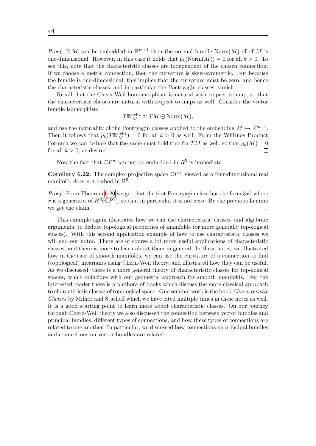*Proof.* If M can be embedded in  $\mathbb{R}^{m+1}$  then the normal bundle Norm $(M)$  of of M is one-dimensional. However, in this case it holds that  $p_k(\text{Norm}(M)) = 0$  for all  $k > 0$ . To see this, note that the characteristic classes are independent of the chosen connection. If we choose a metric connection, then the curvature is skew-symmetric. But because the bundle is one-dimensional, this implies that the curvature must be zero, and hence the characteristic classes, and in particular the Pontryagin classes, vanish.

Recall that the Chern-Weil homomorphism is natural with respect to map, so that the characteristic classes are natural with respect to maps as well. Consider the vector bundle isomorphism

$$
T\mathbb{R}_{|M}^{m+1} \cong TM \oplus \text{Norm}(M),
$$

and use the naturality of the Pontryagin classes applied to the embedding  $M \hookrightarrow \mathbb{R}^{m+1}$ . Then it follows that  $p_k(T \mathbb{R}^{m+1}_{|M}) = 0$  for all  $k > 0$  as well. From the Whitney Product Formula we can deduce that the same must hold true for TM as well, so that  $p_k(M) = 0$ for all  $k > 0$ , as desired.  $\Box$ 

Now the fact that  $\mathbb{C}P^n$  can not be embedded in  $R^5$  is immediate:

**Corollary 6.22.** The complex projective space  $\mathbb{C}P^2$ , viewed as a four-dimensional real manifold, does not embed in  $\mathbb{R}^5$ .

*Proof.* From Theorem [6.20](#page-43-2) we get that the first Pontryagin class has the form  $3x^2$  where x is a generator of  $H^2(\mathbb{C}P^2)$ , so that in particular it is not zero. By the previous Lemma we get the claim.  $\Box$ 

This example again illustrates how we can use characteristic classes, and algebraic arguments, to deduce topological properties of manifolds (or more generally topological spaces). With this second application example of how to use characteristic classes we will end our notes. There are of course a lot more useful applications of characteristic classes, and there is more to learn about them in general. In these notes, we illustrated how in the case of smooth manifolds, we can use the curvature of a connection to find (topological) invariants using Chern-Weil theory, and illustrated how they can be useful. As we discussed, there is a more general theory of characteristic classes for topological spaces, which coincides with our geometric approach for smooth manifolds. For the interested reader there is a plethora of books which discuss the more classical approach to characteristic classes of topological space. One seminal work is the book Characteristic Classes by Milnor and Stasheff which we have cited multiple times in these notes as well. It is a good starting point to learn more about characteristic classes. On our journey through Chern-Weil theory we also discussed the connection between vector bundles and principal bundles, different types of connections, and how these types of connections are related to one another. In particular, we discussed how connections on principal bundles and connections on vector bundles are related.